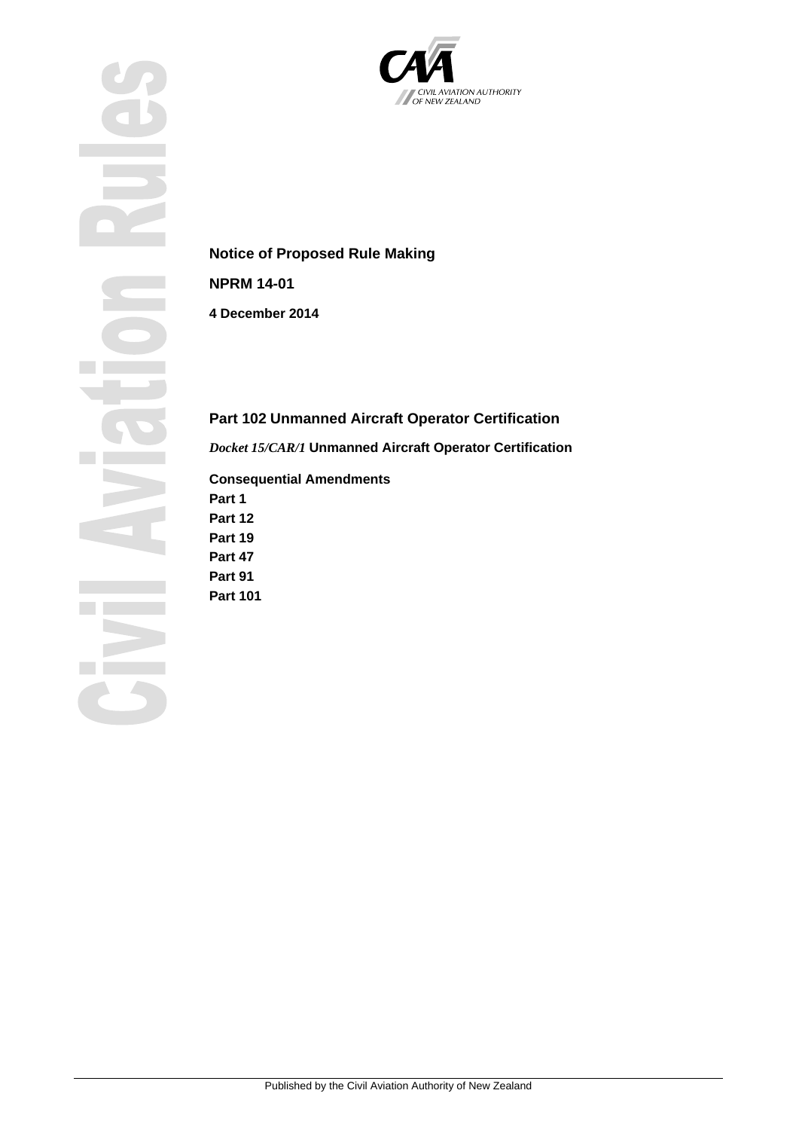



# **Notice of Proposed Rule Making**

**NPRM 14-01**

**4 December 2014**

# **Part 102 Unmanned Aircraft Operator Certification**

*Docket 15/CAR/1* **Unmanned Aircraft Operator Certification**

# **Consequential Amendments**

**Part 1 Part 12 Part 19**

**Part 47**

**Part 91**

**Part 101**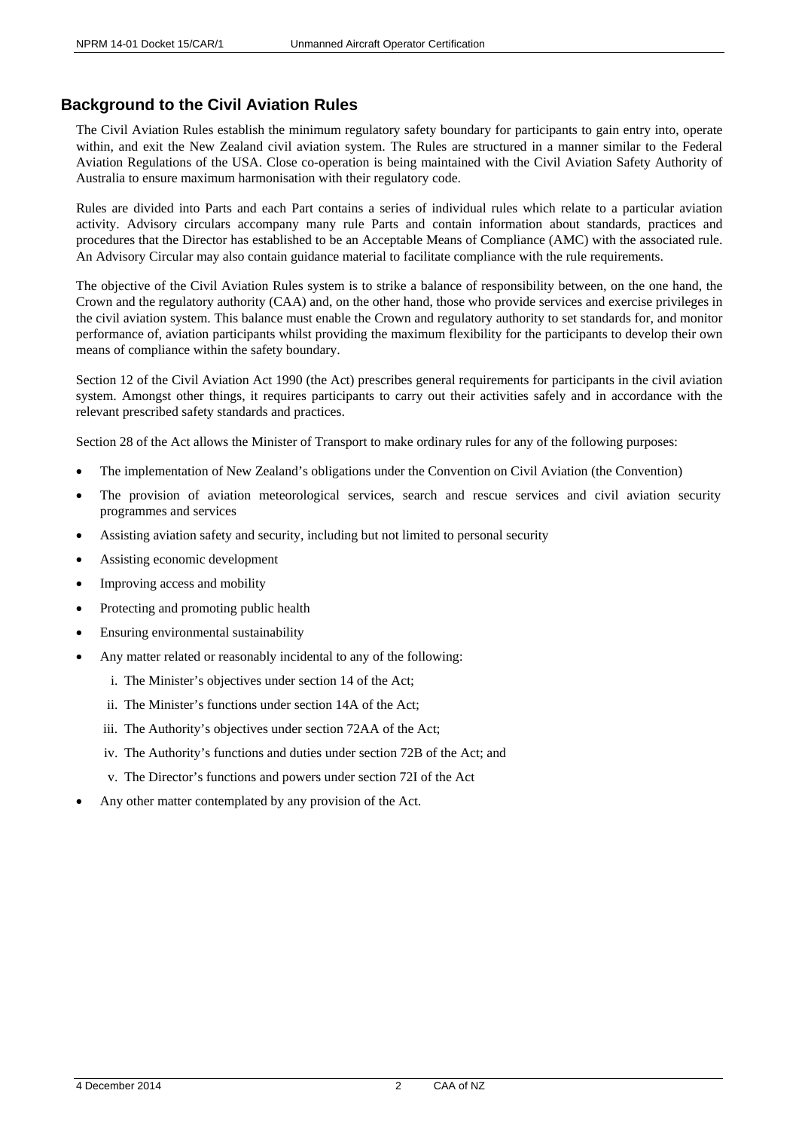# <span id="page-1-0"></span>**Background to the Civil Aviation Rules**

The Civil Aviation Rules establish the minimum regulatory safety boundary for participants to gain entry into, operate within, and exit the New Zealand civil aviation system. The Rules are structured in a manner similar to the Federal Aviation Regulations of the USA. Close co-operation is being maintained with the Civil Aviation Safety Authority of Australia to ensure maximum harmonisation with their regulatory code.

Rules are divided into Parts and each Part contains a series of individual rules which relate to a particular aviation activity. Advisory circulars accompany many rule Parts and contain information about standards, practices and procedures that the Director has established to be an Acceptable Means of Compliance (AMC) with the associated rule. An Advisory Circular may also contain guidance material to facilitate compliance with the rule requirements.

The objective of the Civil Aviation Rules system is to strike a balance of responsibility between, on the one hand, the Crown and the regulatory authority (CAA) and, on the other hand, those who provide services and exercise privileges in the civil aviation system. This balance must enable the Crown and regulatory authority to set standards for, and monitor performance of, aviation participants whilst providing the maximum flexibility for the participants to develop their own means of compliance within the safety boundary.

Section 12 of the Civil Aviation Act 1990 (the Act) prescribes general requirements for participants in the civil aviation system. Amongst other things, it requires participants to carry out their activities safely and in accordance with the relevant prescribed safety standards and practices.

Section 28 of the Act allows the Minister of Transport to make ordinary rules for any of the following purposes:

- The implementation of New Zealand's obligations under the Convention on Civil Aviation (the Convention)
- The provision of aviation meteorological services, search and rescue services and civil aviation security programmes and services
- Assisting aviation safety and security, including but not limited to personal security
- Assisting economic development
- Improving access and mobility
- Protecting and promoting public health
- Ensuring environmental sustainability
- Any matter related or reasonably incidental to any of the following:
	- i. The Minister's objectives under section 14 of the Act;
	- ii. The Minister's functions under section 14A of the Act;
	- iii. The Authority's objectives under section 72AA of the Act;
	- iv. The Authority's functions and duties under section 72B of the Act; and
	- v. The Director's functions and powers under section 72I of the Act
- Any other matter contemplated by any provision of the Act.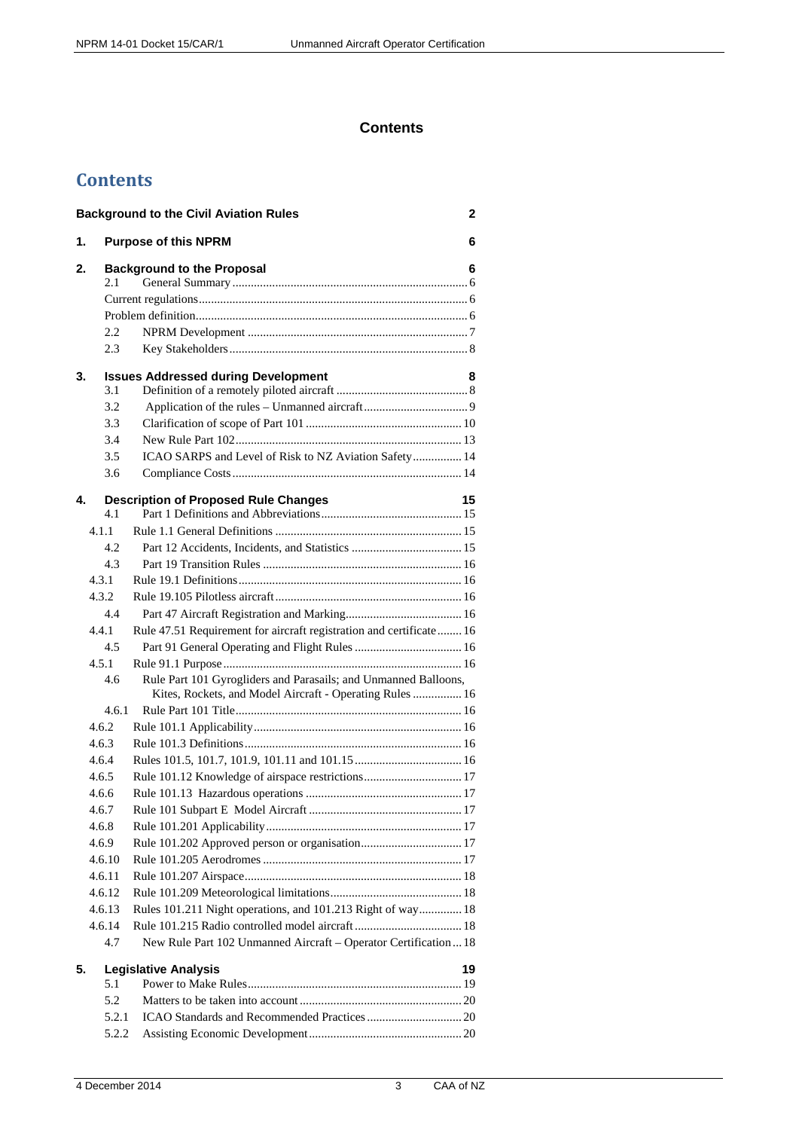# **Contents**

# **Contents**

|    |        | <b>Background to the Civil Aviation Rules</b>                                                                               | $\overline{2}$ |
|----|--------|-----------------------------------------------------------------------------------------------------------------------------|----------------|
| 1. |        | <b>Purpose of this NPRM</b>                                                                                                 | 6              |
| 2. |        | <b>Background to the Proposal</b>                                                                                           | 6              |
|    | 2.1    |                                                                                                                             |                |
|    |        |                                                                                                                             |                |
|    |        |                                                                                                                             |                |
|    | 2.2    |                                                                                                                             |                |
|    | 2.3    |                                                                                                                             |                |
| 3. |        | <b>Issues Addressed during Development</b>                                                                                  | 8              |
|    | 3.1    |                                                                                                                             |                |
|    | 3.2    |                                                                                                                             |                |
|    | 3.3    |                                                                                                                             |                |
|    | 3.4    |                                                                                                                             |                |
|    | 3.5    | ICAO SARPS and Level of Risk to NZ Aviation Safety 14                                                                       |                |
|    | 3.6    |                                                                                                                             |                |
| 4. |        | <b>Description of Proposed Rule Changes</b>                                                                                 | 15             |
|    | 4.1    |                                                                                                                             |                |
|    | 4.1.1  |                                                                                                                             |                |
|    | 4.2    |                                                                                                                             |                |
|    | 4.3    |                                                                                                                             |                |
|    | 4.3.1  |                                                                                                                             |                |
|    | 4.3.2  |                                                                                                                             |                |
|    | 4.4    |                                                                                                                             |                |
|    | 4.4.1  | Rule 47.51 Requirement for aircraft registration and certificate 16                                                         |                |
|    | 4.5    |                                                                                                                             |                |
|    | 4.5.1  |                                                                                                                             |                |
|    | 4.6    | Rule Part 101 Gyrogliders and Parasails; and Unmanned Balloons,<br>Kites, Rockets, and Model Aircraft - Operating Rules  16 |                |
|    | 4.6.1  |                                                                                                                             |                |
|    | 4.6.2  |                                                                                                                             |                |
|    | 4.6.3  |                                                                                                                             |                |
|    | 4.6.4  |                                                                                                                             |                |
|    | 4.6.5  | Rule 101.12 Knowledge of airspace restrictions 17                                                                           |                |
|    | 4.6.6  |                                                                                                                             |                |
|    | 4.6.7  |                                                                                                                             |                |
|    | 4.6.8  |                                                                                                                             |                |
|    | 4.6.9  |                                                                                                                             |                |
|    | 4.6.10 |                                                                                                                             |                |
|    | 4.6.11 |                                                                                                                             |                |
|    | 4.6.12 |                                                                                                                             |                |
|    | 4.6.13 | Rules 101.211 Night operations, and 101.213 Right of way 18                                                                 |                |
|    | 4.6.14 |                                                                                                                             |                |
|    | 4.7    | New Rule Part 102 Unmanned Aircraft - Operator Certification  18                                                            |                |
| 5. |        | <b>Legislative Analysis</b>                                                                                                 | 19             |
|    | 5.1    |                                                                                                                             |                |
|    | 5.2    |                                                                                                                             |                |
|    | 5.2.1  |                                                                                                                             |                |
|    | 5.2.2  |                                                                                                                             |                |
|    |        |                                                                                                                             |                |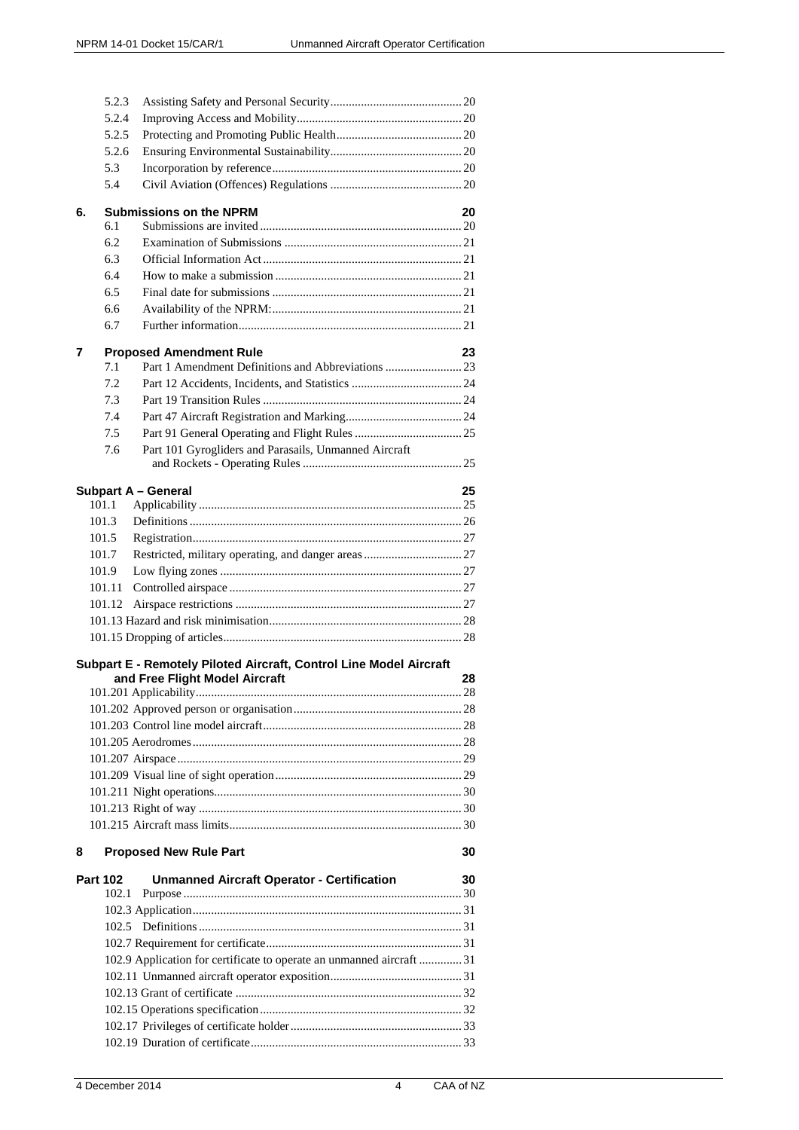|    | 5.2.3           |                                                                       |    |
|----|-----------------|-----------------------------------------------------------------------|----|
|    | 5.2.4           |                                                                       |    |
|    | 5.2.5           |                                                                       |    |
|    | 5.2.6           |                                                                       |    |
|    | 5.3             |                                                                       |    |
|    | 5.4             |                                                                       |    |
| 6. |                 | <b>Submissions on the NPRM</b>                                        | 20 |
|    | 6.1             |                                                                       |    |
|    | 6.2             |                                                                       |    |
|    | 6.3             |                                                                       |    |
|    | 6.4             |                                                                       |    |
|    | 6.5             |                                                                       |    |
|    | 6.6             |                                                                       |    |
|    | 6.7             |                                                                       |    |
| 7  |                 | <b>Proposed Amendment Rule</b>                                        | 23 |
|    | 7.1             | Part 1 Amendment Definitions and Abbreviations 23                     |    |
|    | 7.2             |                                                                       |    |
|    | 7.3             |                                                                       |    |
|    | 7.4             |                                                                       |    |
|    | 7.5             |                                                                       |    |
|    | 7.6             | Part 101 Gyrogliders and Parasails, Unmanned Aircraft                 |    |
|    |                 |                                                                       |    |
|    |                 | <b>Subpart A - General</b>                                            | 25 |
|    | 101.1           |                                                                       |    |
|    | 101.3           |                                                                       |    |
|    | 101.5           |                                                                       |    |
|    | 101.7           |                                                                       |    |
|    | 101.9           |                                                                       |    |
|    | 101.11          |                                                                       |    |
|    | 101.12          |                                                                       |    |
|    |                 |                                                                       |    |
|    |                 |                                                                       |    |
|    |                 | Subpart E - Remotely Piloted Aircraft, Control Line Model Aircraft    |    |
|    |                 | and Free Flight Model Aircraft                                        | 28 |
|    |                 |                                                                       |    |
|    |                 |                                                                       |    |
|    |                 |                                                                       |    |
|    |                 |                                                                       |    |
|    |                 |                                                                       |    |
|    |                 |                                                                       |    |
|    |                 |                                                                       |    |
|    |                 |                                                                       |    |
|    |                 |                                                                       |    |
| 8  |                 | <b>Proposed New Rule Part</b>                                         | 30 |
|    | <b>Part 102</b> | <b>Unmanned Aircraft Operator - Certification</b>                     | 30 |
|    | 102.1           |                                                                       |    |
|    |                 |                                                                       |    |
|    |                 |                                                                       |    |
|    |                 |                                                                       |    |
|    |                 | 102.9 Application for certificate to operate an unmanned aircraft  31 |    |
|    |                 |                                                                       |    |
|    |                 |                                                                       |    |
|    |                 |                                                                       |    |
|    |                 |                                                                       |    |
|    |                 |                                                                       |    |
|    |                 |                                                                       |    |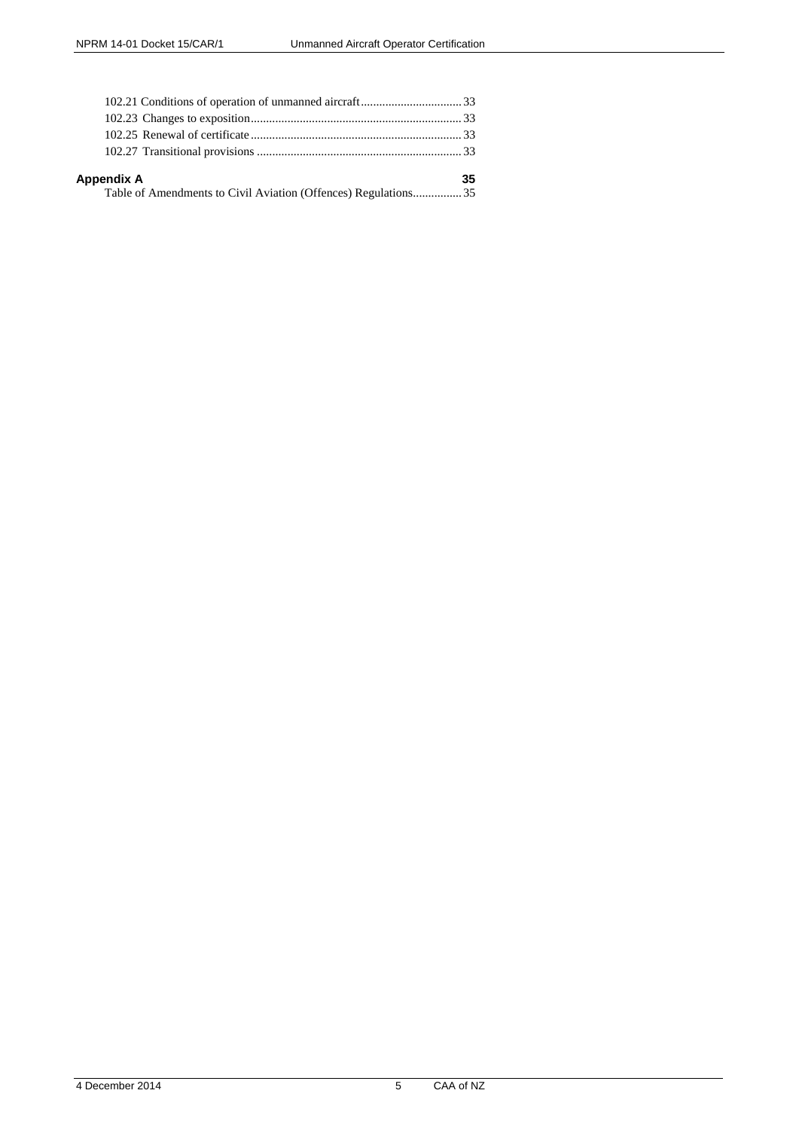| Appendix A                                                     | 35 |
|----------------------------------------------------------------|----|
| Table of Amendments to Civil Aviation (Offences) Regulations35 |    |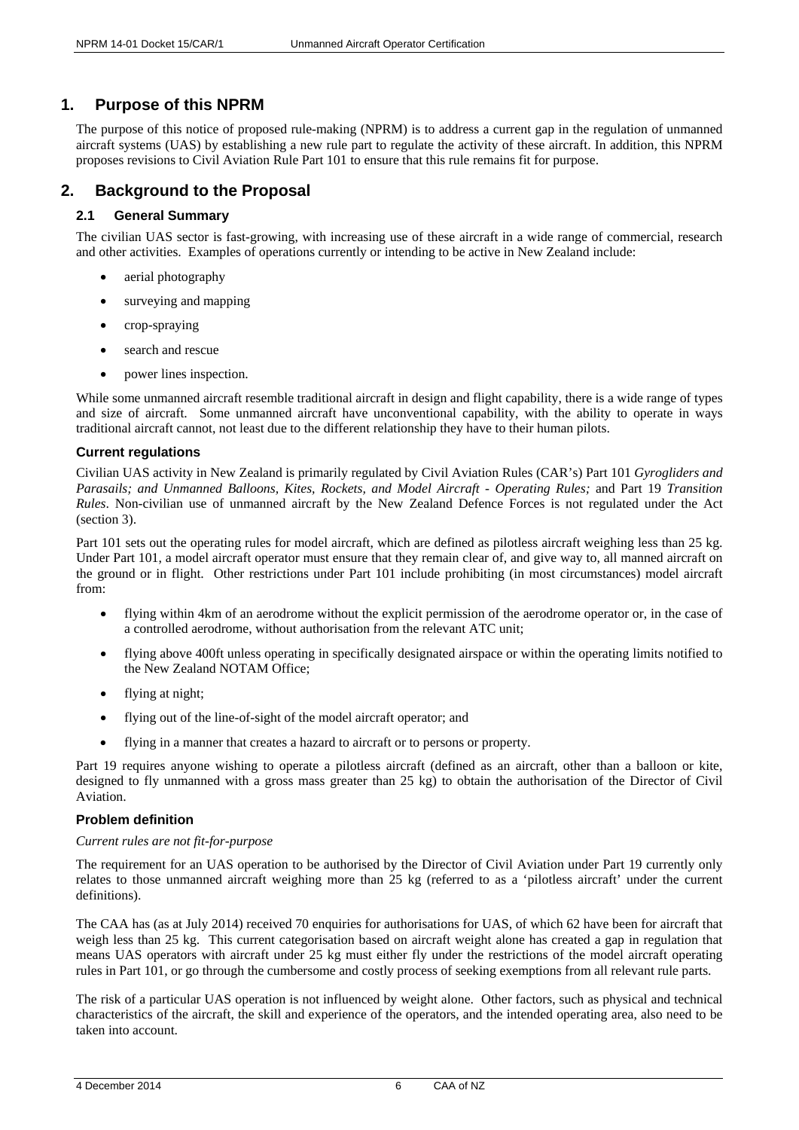# <span id="page-5-0"></span>**1. Purpose of this NPRM**

The purpose of this notice of proposed rule-making (NPRM) is to address a current gap in the regulation of unmanned aircraft systems (UAS) by establishing a new rule part to regulate the activity of these aircraft. In addition, this NPRM proposes revisions to Civil Aviation Rule Part 101 to ensure that this rule remains fit for purpose.

# <span id="page-5-1"></span>**2. Background to the Proposal**

# <span id="page-5-2"></span>**2.1 General Summary**

The civilian UAS sector is fast-growing, with increasing use of these aircraft in a wide range of commercial, research and other activities. Examples of operations currently or intending to be active in New Zealand include:

- aerial photography
- surveying and mapping
- crop-spraying
- search and rescue
- power lines inspection.

While some unmanned aircraft resemble traditional aircraft in design and flight capability, there is a wide range of types and size of aircraft. Some unmanned aircraft have unconventional capability, with the ability to operate in ways traditional aircraft cannot, not least due to the different relationship they have to their human pilots.

# <span id="page-5-3"></span>**Current regulations**

Civilian UAS activity in New Zealand is primarily regulated by Civil Aviation Rules (CAR's) Part 101 *Gyrogliders and Parasails; and Unmanned Balloons, Kites, Rockets, and Model Aircraft - Operating Rules;* and Part 19 *Transition Rules*. Non-civilian use of unmanned aircraft by the New Zealand Defence Forces is not regulated under the Act (section 3).

Part 101 sets out the operating rules for model aircraft, which are defined as pilotless aircraft weighing less than 25 kg. Under Part 101, a model aircraft operator must ensure that they remain clear of, and give way to, all manned aircraft on the ground or in flight. Other restrictions under Part 101 include prohibiting (in most circumstances) model aircraft from:

- flying within 4km of an aerodrome without the explicit permission of the aerodrome operator or, in the case of a controlled aerodrome, without authorisation from the relevant ATC unit;
- flying above 400ft unless operating in specifically designated airspace or within the operating limits notified to the New Zealand NOTAM Office;
- flying at night:
- flying out of the line-of-sight of the model aircraft operator; and
- flying in a manner that creates a hazard to aircraft or to persons or property.

Part 19 requires anyone wishing to operate a pilotless aircraft (defined as an aircraft, other than a balloon or kite, designed to fly unmanned with a gross mass greater than 25 kg) to obtain the authorisation of the Director of Civil Aviation.

# <span id="page-5-4"></span>**Problem definition**

# *Current rules are not fit-for-purpose*

The requirement for an UAS operation to be authorised by the Director of Civil Aviation under Part 19 currently only relates to those unmanned aircraft weighing more than 25 kg (referred to as a 'pilotless aircraft' under the current definitions).

The CAA has (as at July 2014) received 70 enquiries for authorisations for UAS, of which 62 have been for aircraft that weigh less than 25 kg. This current categorisation based on aircraft weight alone has created a gap in regulation that means UAS operators with aircraft under 25 kg must either fly under the restrictions of the model aircraft operating rules in Part 101, or go through the cumbersome and costly process of seeking exemptions from all relevant rule parts.

The risk of a particular UAS operation is not influenced by weight alone. Other factors, such as physical and technical characteristics of the aircraft, the skill and experience of the operators, and the intended operating area, also need to be taken into account.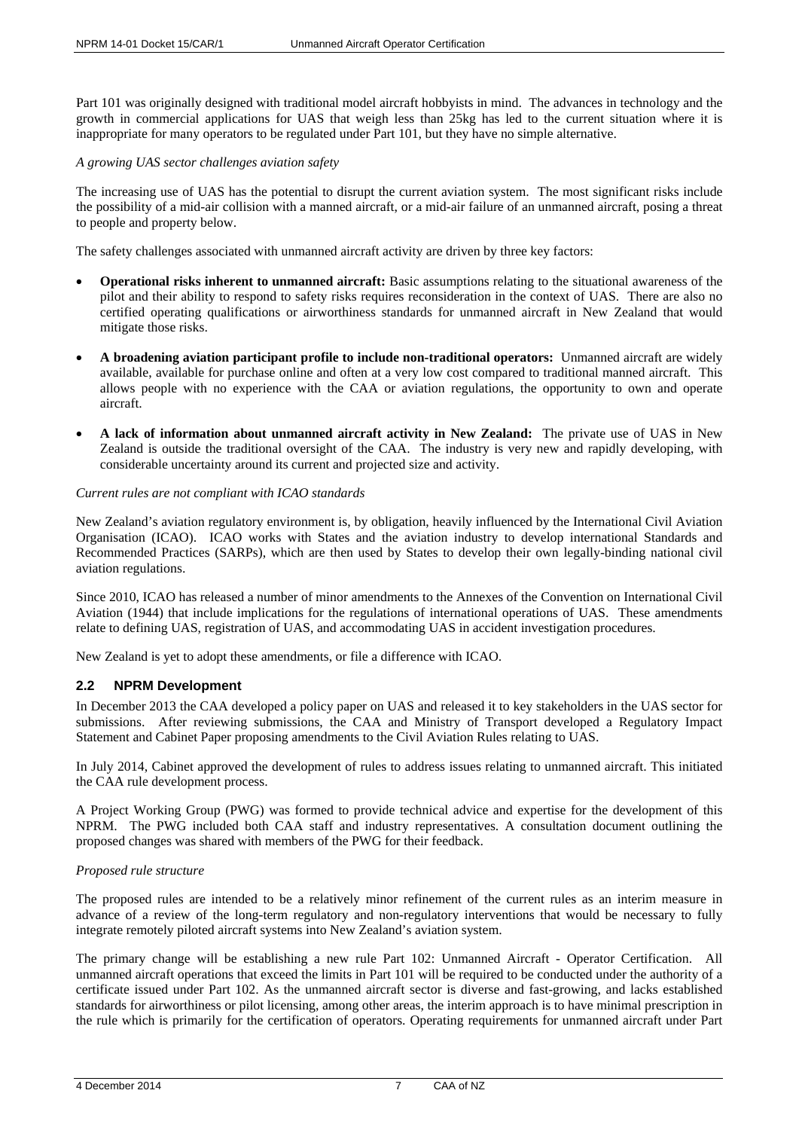Part 101 was originally designed with traditional model aircraft hobbyists in mind. The advances in technology and the growth in commercial applications for UAS that weigh less than 25kg has led to the current situation where it is inappropriate for many operators to be regulated under Part 101, but they have no simple alternative.

## *A growing UAS sector challenges aviation safety*

The increasing use of UAS has the potential to disrupt the current aviation system. The most significant risks include the possibility of a mid-air collision with a manned aircraft, or a mid-air failure of an unmanned aircraft, posing a threat to people and property below.

The safety challenges associated with unmanned aircraft activity are driven by three key factors:

- **Operational risks inherent to unmanned aircraft:** Basic assumptions relating to the situational awareness of the pilot and their ability to respond to safety risks requires reconsideration in the context of UAS. There are also no certified operating qualifications or airworthiness standards for unmanned aircraft in New Zealand that would mitigate those risks.
- **A broadening aviation participant profile to include non-traditional operators:** Unmanned aircraft are widely available, available for purchase online and often at a very low cost compared to traditional manned aircraft. This allows people with no experience with the CAA or aviation regulations, the opportunity to own and operate aircraft.
- **A lack of information about unmanned aircraft activity in New Zealand:** The private use of UAS in New Zealand is outside the traditional oversight of the CAA. The industry is very new and rapidly developing, with considerable uncertainty around its current and projected size and activity.

## *Current rules are not compliant with ICAO standards*

New Zealand's aviation regulatory environment is, by obligation, heavily influenced by the International Civil Aviation Organisation (ICAO). ICAO works with States and the aviation industry to develop international Standards and Recommended Practices (SARPs), which are then used by States to develop their own legally-binding national civil aviation regulations.

Since 2010, ICAO has released a number of minor amendments to the Annexes of the Convention on International Civil Aviation (1944) that include implications for the regulations of international operations of UAS. These amendments relate to defining UAS, registration of UAS, and accommodating UAS in accident investigation procedures.

New Zealand is yet to adopt these amendments, or file a difference with ICAO.

## <span id="page-6-0"></span>**2.2 NPRM Development**

In December 2013 the CAA developed a policy paper on UAS and released it to key stakeholders in the UAS sector for submissions. After reviewing submissions, the CAA and Ministry of Transport developed a Regulatory Impact Statement and Cabinet Paper proposing amendments to the Civil Aviation Rules relating to UAS.

In July 2014, Cabinet approved the development of rules to address issues relating to unmanned aircraft. This initiated the CAA rule development process.

A Project Working Group (PWG) was formed to provide technical advice and expertise for the development of this NPRM. The PWG included both CAA staff and industry representatives. A consultation document outlining the proposed changes was shared with members of the PWG for their feedback.

#### *Proposed rule structure*

The proposed rules are intended to be a relatively minor refinement of the current rules as an interim measure in advance of a review of the long-term regulatory and non-regulatory interventions that would be necessary to fully integrate remotely piloted aircraft systems into New Zealand's aviation system.

The primary change will be establishing a new rule Part 102: Unmanned Aircraft - Operator Certification. All unmanned aircraft operations that exceed the limits in Part 101 will be required to be conducted under the authority of a certificate issued under Part 102. As the unmanned aircraft sector is diverse and fast-growing, and lacks established standards for airworthiness or pilot licensing, among other areas, the interim approach is to have minimal prescription in the rule which is primarily for the certification of operators. Operating requirements for unmanned aircraft under Part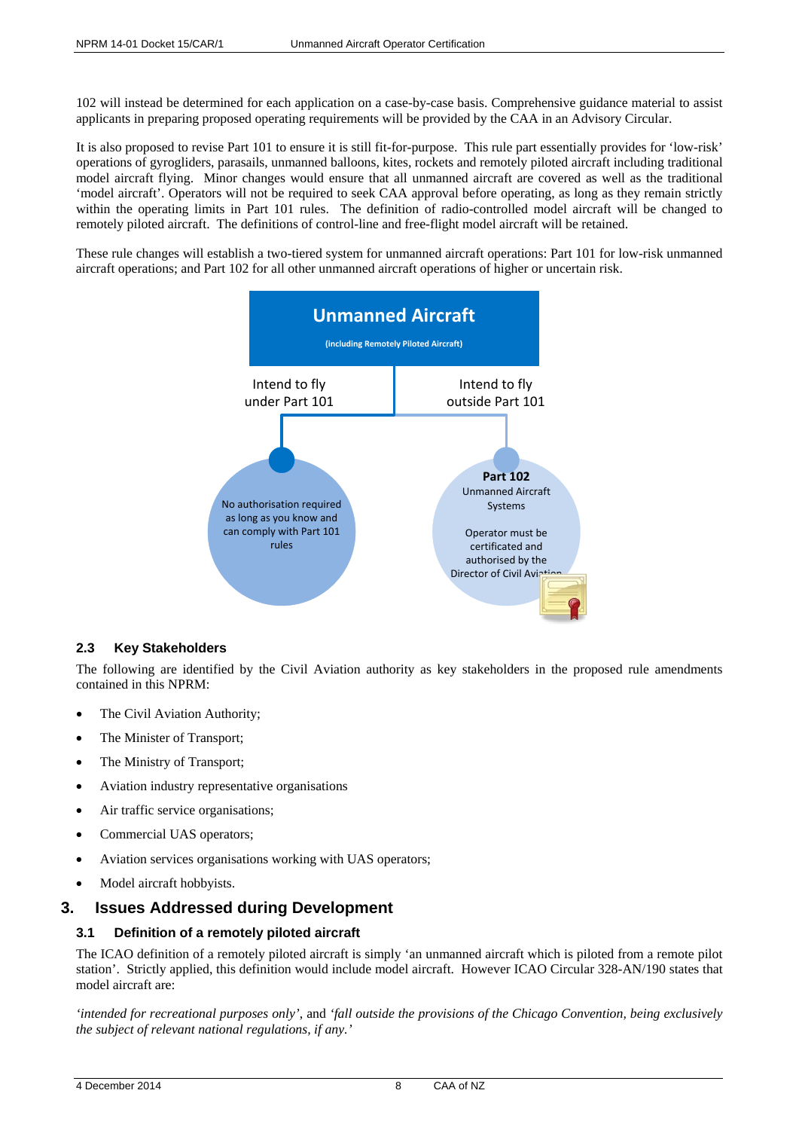102 will instead be determined for each application on a case-by-case basis. Comprehensive guidance material to assist applicants in preparing proposed operating requirements will be provided by the CAA in an Advisory Circular.

It is also proposed to revise Part 101 to ensure it is still fit-for-purpose. This rule part essentially provides for 'low-risk' operations of gyrogliders, parasails, unmanned balloons, kites, rockets and remotely piloted aircraft including traditional model aircraft flying. Minor changes would ensure that all unmanned aircraft are covered as well as the traditional 'model aircraft'. Operators will not be required to seek CAA approval before operating, as long as they remain strictly within the operating limits in Part 101 rules. The definition of radio-controlled model aircraft will be changed to remotely piloted aircraft. The definitions of control-line and free-flight model aircraft will be retained.

These rule changes will establish a two-tiered system for unmanned aircraft operations: Part 101 for low-risk unmanned aircraft operations; and Part 102 for all other unmanned aircraft operations of higher or uncertain risk.



# <span id="page-7-0"></span>**2.3 Key Stakeholders**

The following are identified by the Civil Aviation authority as key stakeholders in the proposed rule amendments contained in this NPRM:

- The Civil Aviation Authority;
- The Minister of Transport;
- The Ministry of Transport;
- Aviation industry representative organisations
- Air traffic service organisations;
- Commercial UAS operators;
- Aviation services organisations working with UAS operators;
- Model aircraft hobbyists.

# <span id="page-7-1"></span>**3. Issues Addressed during Development**

# <span id="page-7-2"></span>**3.1 Definition of a remotely piloted aircraft**

The ICAO definition of a remotely piloted aircraft is simply 'an unmanned aircraft which is piloted from a remote pilot station'. Strictly applied, this definition would include model aircraft. However ICAO Circular 328-AN/190 states that model aircraft are:

*'intended for recreational purposes only'*, and *'fall outside the provisions of the Chicago Convention, being exclusively the subject of relevant national regulations, if any.'*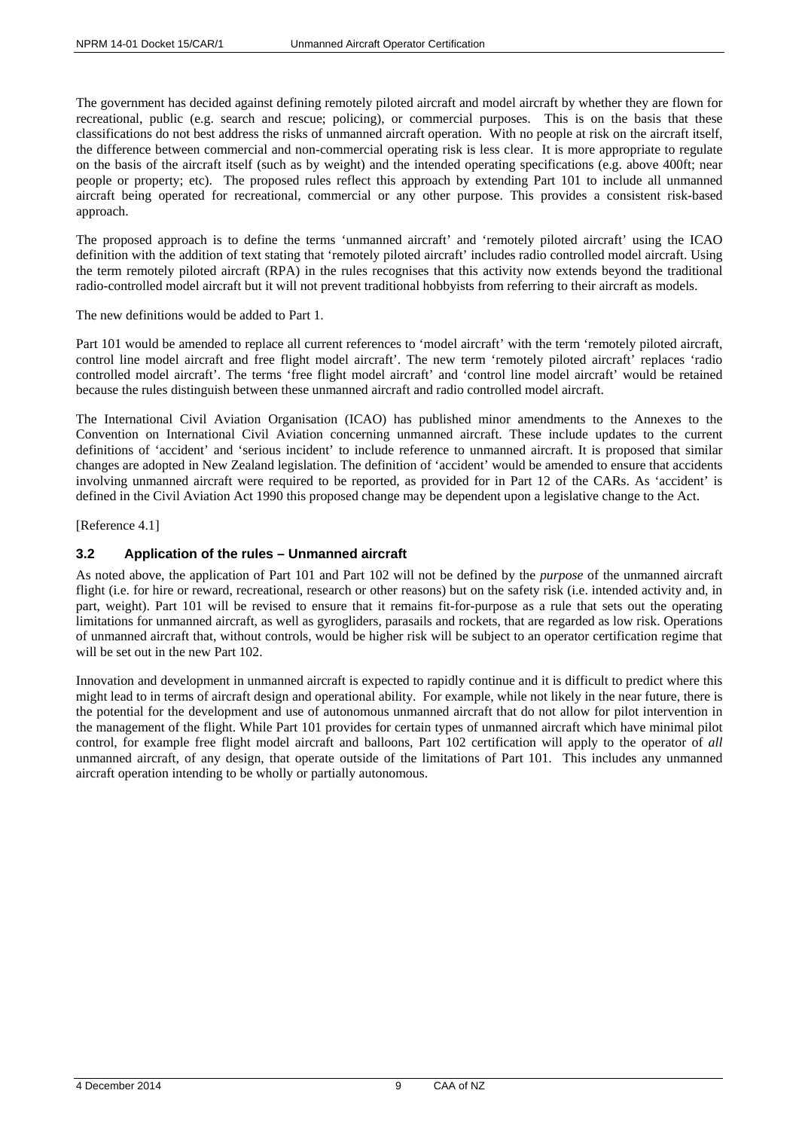The government has decided against defining remotely piloted aircraft and model aircraft by whether they are flown for recreational, public (e.g. search and rescue; policing), or commercial purposes. This is on the basis that these classifications do not best address the risks of unmanned aircraft operation. With no people at risk on the aircraft itself, the difference between commercial and non-commercial operating risk is less clear. It is more appropriate to regulate on the basis of the aircraft itself (such as by weight) and the intended operating specifications (e.g. above 400ft; near people or property; etc). The proposed rules reflect this approach by extending Part 101 to include all unmanned aircraft being operated for recreational, commercial or any other purpose. This provides a consistent risk-based approach.

The proposed approach is to define the terms 'unmanned aircraft' and 'remotely piloted aircraft' using the ICAO definition with the addition of text stating that 'remotely piloted aircraft' includes radio controlled model aircraft. Using the term remotely piloted aircraft (RPA) in the rules recognises that this activity now extends beyond the traditional radio-controlled model aircraft but it will not prevent traditional hobbyists from referring to their aircraft as models.

The new definitions would be added to Part 1.

Part 101 would be amended to replace all current references to 'model aircraft' with the term 'remotely piloted aircraft, control line model aircraft and free flight model aircraft'. The new term 'remotely piloted aircraft' replaces 'radio controlled model aircraft'. The terms 'free flight model aircraft' and 'control line model aircraft' would be retained because the rules distinguish between these unmanned aircraft and radio controlled model aircraft.

The International Civil Aviation Organisation (ICAO) has published minor amendments to the Annexes to the Convention on International Civil Aviation concerning unmanned aircraft. These include updates to the current definitions of 'accident' and 'serious incident' to include reference to unmanned aircraft. It is proposed that similar changes are adopted in New Zealand legislation. The definition of 'accident' would be amended to ensure that accidents involving unmanned aircraft were required to be reported, as provided for in Part 12 of the CARs. As 'accident' is defined in the Civil Aviation Act 1990 this proposed change may be dependent upon a legislative change to the Act.

[Reference 4.1]

# <span id="page-8-0"></span>**3.2 Application of the rules – Unmanned aircraft**

As noted above, the application of Part 101 and Part 102 will not be defined by the *purpose* of the unmanned aircraft flight (i.e. for hire or reward, recreational, research or other reasons) but on the safety risk (i.e. intended activity and, in part, weight). Part 101 will be revised to ensure that it remains fit-for-purpose as a rule that sets out the operating limitations for unmanned aircraft, as well as gyrogliders, parasails and rockets, that are regarded as low risk. Operations of unmanned aircraft that, without controls, would be higher risk will be subject to an operator certification regime that will be set out in the new Part 102.

Innovation and development in unmanned aircraft is expected to rapidly continue and it is difficult to predict where this might lead to in terms of aircraft design and operational ability. For example, while not likely in the near future, there is the potential for the development and use of autonomous unmanned aircraft that do not allow for pilot intervention in the management of the flight. While Part 101 provides for certain types of unmanned aircraft which have minimal pilot control, for example free flight model aircraft and balloons, Part 102 certification will apply to the operator of *all* unmanned aircraft, of any design, that operate outside of the limitations of Part 101. This includes any unmanned aircraft operation intending to be wholly or partially autonomous.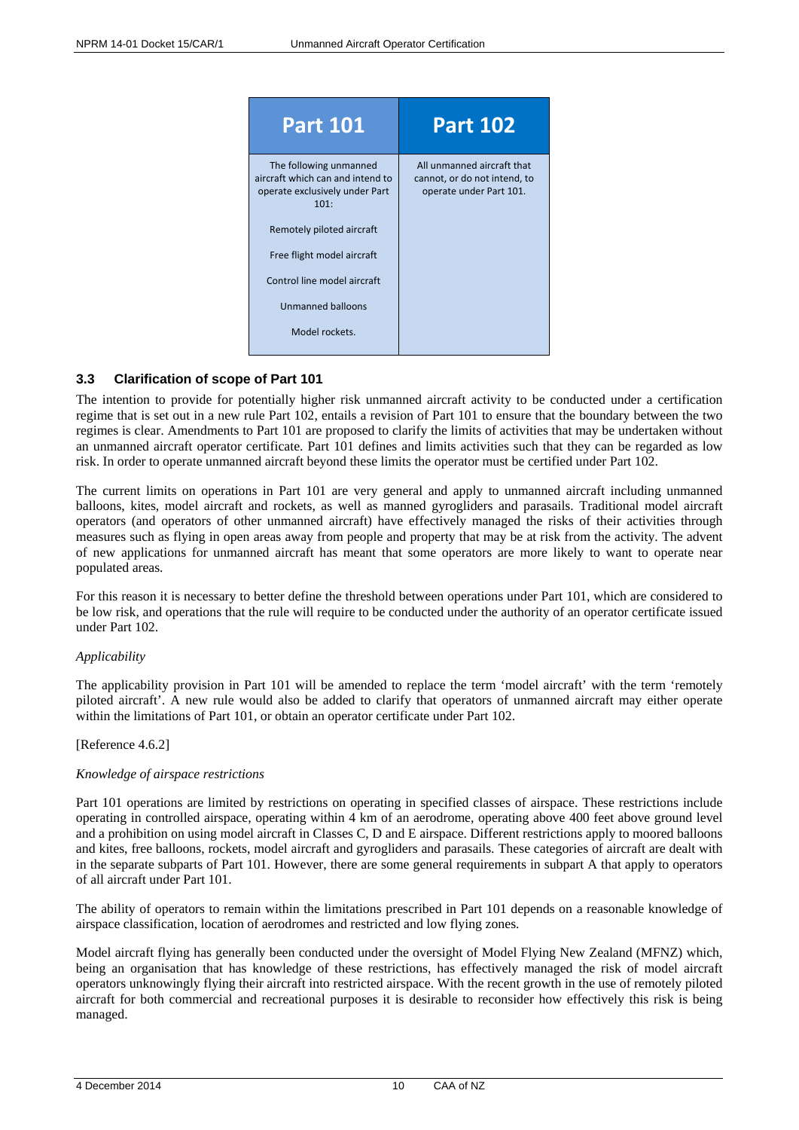

## <span id="page-9-0"></span>**3.3 Clarification of scope of Part 101**

The intention to provide for potentially higher risk unmanned aircraft activity to be conducted under a certification regime that is set out in a new rule Part 102, entails a revision of Part 101 to ensure that the boundary between the two regimes is clear. Amendments to Part 101 are proposed to clarify the limits of activities that may be undertaken without an unmanned aircraft operator certificate. Part 101 defines and limits activities such that they can be regarded as low risk. In order to operate unmanned aircraft beyond these limits the operator must be certified under Part 102.

The current limits on operations in Part 101 are very general and apply to unmanned aircraft including unmanned balloons, kites, model aircraft and rockets, as well as manned gyrogliders and parasails. Traditional model aircraft operators (and operators of other unmanned aircraft) have effectively managed the risks of their activities through measures such as flying in open areas away from people and property that may be at risk from the activity. The advent of new applications for unmanned aircraft has meant that some operators are more likely to want to operate near populated areas.

For this reason it is necessary to better define the threshold between operations under Part 101, which are considered to be low risk, and operations that the rule will require to be conducted under the authority of an operator certificate issued under Part 102.

## *Applicability*

The applicability provision in Part 101 will be amended to replace the term 'model aircraft' with the term 'remotely piloted aircraft'. A new rule would also be added to clarify that operators of unmanned aircraft may either operate within the limitations of Part 101, or obtain an operator certificate under Part 102.

## [Reference 4.6.2]

## *Knowledge of airspace restrictions*

Part 101 operations are limited by restrictions on operating in specified classes of airspace. These restrictions include operating in controlled airspace, operating within 4 km of an aerodrome, operating above 400 feet above ground level and a prohibition on using model aircraft in Classes C, D and E airspace. Different restrictions apply to moored balloons and kites, free balloons, rockets, model aircraft and gyrogliders and parasails. These categories of aircraft are dealt with in the separate subparts of Part 101. However, there are some general requirements in subpart A that apply to operators of all aircraft under Part 101.

The ability of operators to remain within the limitations prescribed in Part 101 depends on a reasonable knowledge of airspace classification, location of aerodromes and restricted and low flying zones.

Model aircraft flying has generally been conducted under the oversight of Model Flying New Zealand (MFNZ) which, being an organisation that has knowledge of these restrictions, has effectively managed the risk of model aircraft operators unknowingly flying their aircraft into restricted airspace. With the recent growth in the use of remotely piloted aircraft for both commercial and recreational purposes it is desirable to reconsider how effectively this risk is being managed.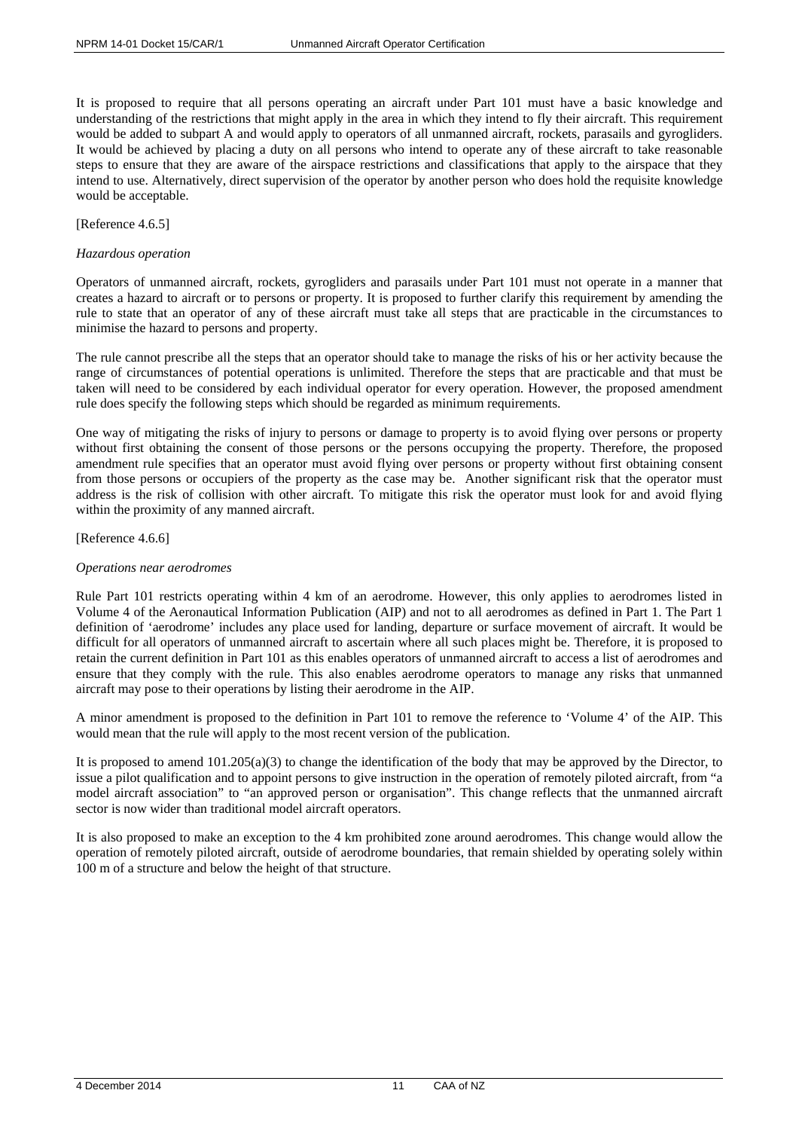It is proposed to require that all persons operating an aircraft under Part 101 must have a basic knowledge and understanding of the restrictions that might apply in the area in which they intend to fly their aircraft. This requirement would be added to subpart A and would apply to operators of all unmanned aircraft, rockets, parasails and gyrogliders. It would be achieved by placing a duty on all persons who intend to operate any of these aircraft to take reasonable steps to ensure that they are aware of the airspace restrictions and classifications that apply to the airspace that they intend to use. Alternatively, direct supervision of the operator by another person who does hold the requisite knowledge would be acceptable.

## [Reference 4.6.5]

#### *Hazardous operation*

Operators of unmanned aircraft, rockets, gyrogliders and parasails under Part 101 must not operate in a manner that creates a hazard to aircraft or to persons or property. It is proposed to further clarify this requirement by amending the rule to state that an operator of any of these aircraft must take all steps that are practicable in the circumstances to minimise the hazard to persons and property.

The rule cannot prescribe all the steps that an operator should take to manage the risks of his or her activity because the range of circumstances of potential operations is unlimited. Therefore the steps that are practicable and that must be taken will need to be considered by each individual operator for every operation. However, the proposed amendment rule does specify the following steps which should be regarded as minimum requirements.

One way of mitigating the risks of injury to persons or damage to property is to avoid flying over persons or property without first obtaining the consent of those persons or the persons occupying the property. Therefore, the proposed amendment rule specifies that an operator must avoid flying over persons or property without first obtaining consent from those persons or occupiers of the property as the case may be. Another significant risk that the operator must address is the risk of collision with other aircraft. To mitigate this risk the operator must look for and avoid flying within the proximity of any manned aircraft.

#### [Reference 4.6.6]

#### *Operations near aerodromes*

Rule Part 101 restricts operating within 4 km of an aerodrome. However, this only applies to aerodromes listed in Volume 4 of the Aeronautical Information Publication (AIP) and not to all aerodromes as defined in Part 1. The Part 1 definition of 'aerodrome' includes any place used for landing, departure or surface movement of aircraft. It would be difficult for all operators of unmanned aircraft to ascertain where all such places might be. Therefore, it is proposed to retain the current definition in Part 101 as this enables operators of unmanned aircraft to access a list of aerodromes and ensure that they comply with the rule. This also enables aerodrome operators to manage any risks that unmanned aircraft may pose to their operations by listing their aerodrome in the AIP.

A minor amendment is proposed to the definition in Part 101 to remove the reference to 'Volume 4' of the AIP. This would mean that the rule will apply to the most recent version of the publication.

It is proposed to amend 101.205(a)(3) to change the identification of the body that may be approved by the Director, to issue a pilot qualification and to appoint persons to give instruction in the operation of remotely piloted aircraft, from "a model aircraft association" to "an approved person or organisation". This change reflects that the unmanned aircraft sector is now wider than traditional model aircraft operators.

It is also proposed to make an exception to the 4 km prohibited zone around aerodromes. This change would allow the operation of remotely piloted aircraft, outside of aerodrome boundaries, that remain shielded by operating solely within 100 m of a structure and below the height of that structure.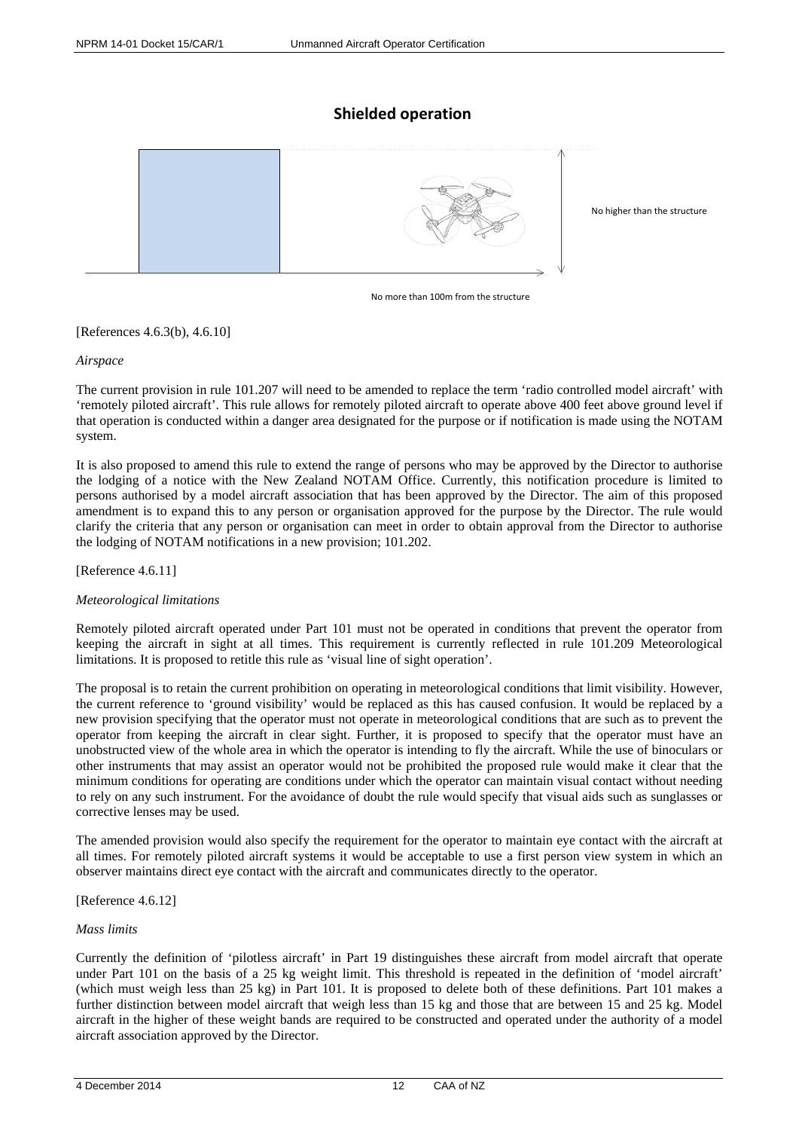# **Shielded operation**



No more than 100m from the structure

[References 4.6.3(b), 4.6.10]

*Airspace*

The current provision in rule 101.207 will need to be amended to replace the term 'radio controlled model aircraft' with 'remotely piloted aircraft'. This rule allows for remotely piloted aircraft to operate above 400 feet above ground level if that operation is conducted within a danger area designated for the purpose or if notification is made using the NOTAM system.

It is also proposed to amend this rule to extend the range of persons who may be approved by the Director to authorise the lodging of a notice with the New Zealand NOTAM Office. Currently, this notification procedure is limited to persons authorised by a model aircraft association that has been approved by the Director. The aim of this proposed amendment is to expand this to any person or organisation approved for the purpose by the Director. The rule would clarify the criteria that any person or organisation can meet in order to obtain approval from the Director to authorise the lodging of NOTAM notifications in a new provision; 101.202.

[Reference 4.6.11]

## *Meteorological limitations*

Remotely piloted aircraft operated under Part 101 must not be operated in conditions that prevent the operator from keeping the aircraft in sight at all times. This requirement is currently reflected in rule 101.209 Meteorological limitations. It is proposed to retitle this rule as 'visual line of sight operation'.

The proposal is to retain the current prohibition on operating in meteorological conditions that limit visibility. However, the current reference to 'ground visibility' would be replaced as this has caused confusion. It would be replaced by a new provision specifying that the operator must not operate in meteorological conditions that are such as to prevent the operator from keeping the aircraft in clear sight. Further, it is proposed to specify that the operator must have an unobstructed view of the whole area in which the operator is intending to fly the aircraft. While the use of binoculars or other instruments that may assist an operator would not be prohibited the proposed rule would make it clear that the minimum conditions for operating are conditions under which the operator can maintain visual contact without needing to rely on any such instrument. For the avoidance of doubt the rule would specify that visual aids such as sunglasses or corrective lenses may be used.

The amended provision would also specify the requirement for the operator to maintain eye contact with the aircraft at all times. For remotely piloted aircraft systems it would be acceptable to use a first person view system in which an observer maintains direct eye contact with the aircraft and communicates directly to the operator.

#### [Reference 4.6.12]

#### *Mass limits*

Currently the definition of 'pilotless aircraft' in Part 19 distinguishes these aircraft from model aircraft that operate under Part 101 on the basis of a 25 kg weight limit. This threshold is repeated in the definition of 'model aircraft' (which must weigh less than 25 kg) in Part 101. It is proposed to delete both of these definitions. Part 101 makes a further distinction between model aircraft that weigh less than 15 kg and those that are between 15 and 25 kg. Model aircraft in the higher of these weight bands are required to be constructed and operated under the authority of a model aircraft association approved by the Director.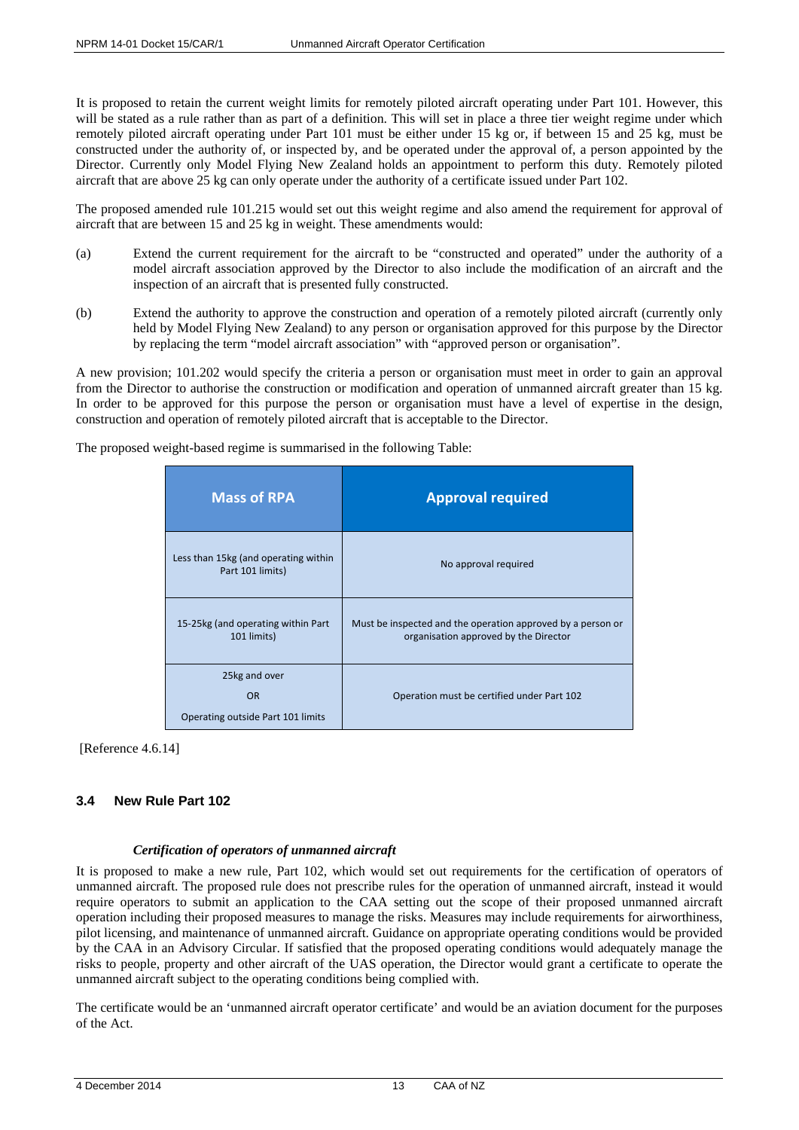It is proposed to retain the current weight limits for remotely piloted aircraft operating under Part 101. However, this will be stated as a rule rather than as part of a definition. This will set in place a three tier weight regime under which remotely piloted aircraft operating under Part 101 must be either under 15 kg or, if between 15 and 25 kg, must be constructed under the authority of, or inspected by, and be operated under the approval of, a person appointed by the Director. Currently only Model Flying New Zealand holds an appointment to perform this duty. Remotely piloted aircraft that are above 25 kg can only operate under the authority of a certificate issued under Part 102.

The proposed amended rule 101.215 would set out this weight regime and also amend the requirement for approval of aircraft that are between 15 and 25 kg in weight. These amendments would:

- (a) Extend the current requirement for the aircraft to be "constructed and operated" under the authority of a model aircraft association approved by the Director to also include the modification of an aircraft and the inspection of an aircraft that is presented fully constructed.
- (b) Extend the authority to approve the construction and operation of a remotely piloted aircraft (currently only held by Model Flying New Zealand) to any person or organisation approved for this purpose by the Director by replacing the term "model aircraft association" with "approved person or organisation".

A new provision; 101.202 would specify the criteria a person or organisation must meet in order to gain an approval from the Director to authorise the construction or modification and operation of unmanned aircraft greater than 15 kg. In order to be approved for this purpose the person or organisation must have a level of expertise in the design, construction and operation of remotely piloted aircraft that is acceptable to the Director.

| <b>Mass of RPA</b>                                              | <b>Approval required</b>                                                                             |
|-----------------------------------------------------------------|------------------------------------------------------------------------------------------------------|
| Less than 15kg (and operating within<br>Part 101 limits)        | No approval required                                                                                 |
| 15-25kg (and operating within Part<br>101 limits)               | Must be inspected and the operation approved by a person or<br>organisation approved by the Director |
| 25kg and over<br><b>OR</b><br>Operating outside Part 101 limits | Operation must be certified under Part 102                                                           |

[Reference 4.6.14]

# <span id="page-12-0"></span>**3.4 New Rule Part 102**

## *Certification of operators of unmanned aircraft*

It is proposed to make a new rule, Part 102, which would set out requirements for the certification of operators of unmanned aircraft. The proposed rule does not prescribe rules for the operation of unmanned aircraft, instead it would require operators to submit an application to the CAA setting out the scope of their proposed unmanned aircraft operation including their proposed measures to manage the risks. Measures may include requirements for airworthiness, pilot licensing, and maintenance of unmanned aircraft. Guidance on appropriate operating conditions would be provided by the CAA in an Advisory Circular. If satisfied that the proposed operating conditions would adequately manage the risks to people, property and other aircraft of the UAS operation, the Director would grant a certificate to operate the unmanned aircraft subject to the operating conditions being complied with.

The certificate would be an 'unmanned aircraft operator certificate' and would be an aviation document for the purposes of the Act.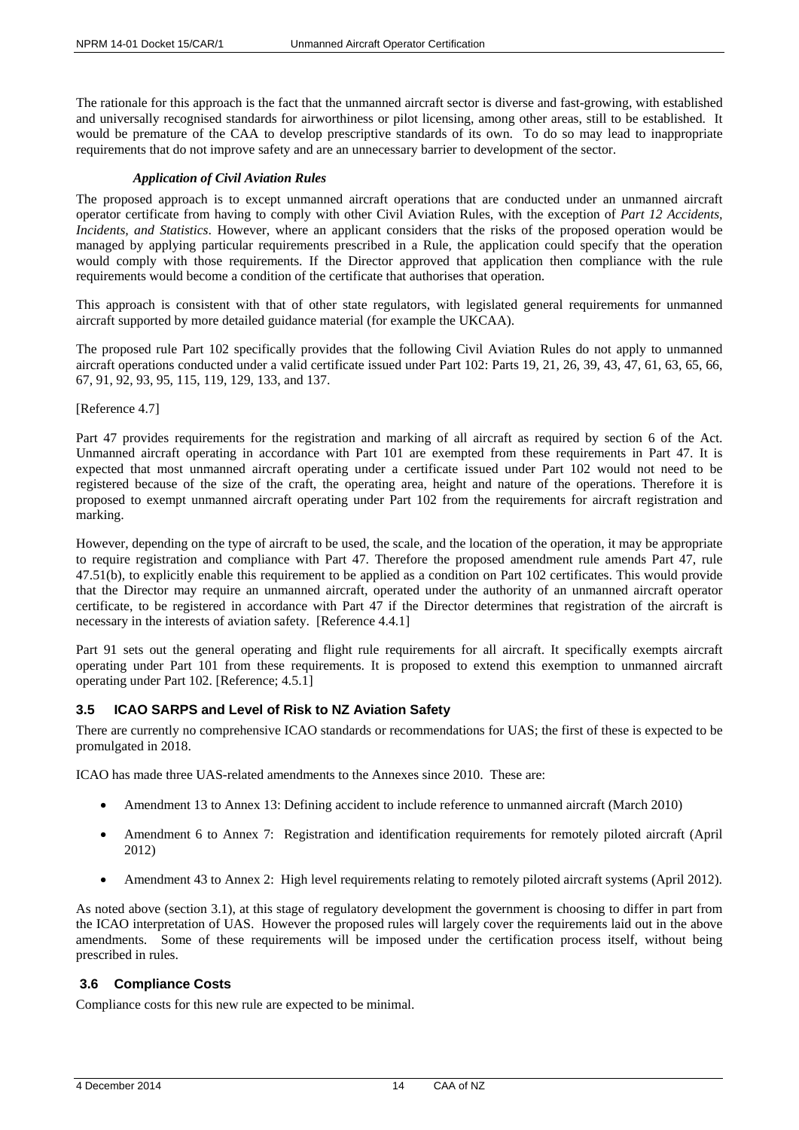The rationale for this approach is the fact that the unmanned aircraft sector is diverse and fast-growing, with established and universally recognised standards for airworthiness or pilot licensing, among other areas, still to be established. It would be premature of the CAA to develop prescriptive standards of its own. To do so may lead to inappropriate requirements that do not improve safety and are an unnecessary barrier to development of the sector.

## *Application of Civil Aviation Rules*

The proposed approach is to except unmanned aircraft operations that are conducted under an unmanned aircraft operator certificate from having to comply with other Civil Aviation Rules, with the exception of *Part 12 Accidents, Incidents, and Statistics*. However, where an applicant considers that the risks of the proposed operation would be managed by applying particular requirements prescribed in a Rule, the application could specify that the operation would comply with those requirements. If the Director approved that application then compliance with the rule requirements would become a condition of the certificate that authorises that operation.

This approach is consistent with that of other state regulators, with legislated general requirements for unmanned aircraft supported by more detailed guidance material (for example the UKCAA).

The proposed rule Part 102 specifically provides that the following Civil Aviation Rules do not apply to unmanned aircraft operations conducted under a valid certificate issued under Part 102: Parts 19, 21, 26, 39, 43, 47, 61, 63, 65, 66, 67, 91, 92, 93, 95, 115, 119, 129, 133, and 137.

[Reference 4.7]

Part 47 provides requirements for the registration and marking of all aircraft as required by section 6 of the Act. Unmanned aircraft operating in accordance with Part 101 are exempted from these requirements in Part 47. It is expected that most unmanned aircraft operating under a certificate issued under Part 102 would not need to be registered because of the size of the craft, the operating area, height and nature of the operations. Therefore it is proposed to exempt unmanned aircraft operating under Part 102 from the requirements for aircraft registration and marking.

However, depending on the type of aircraft to be used, the scale, and the location of the operation, it may be appropriate to require registration and compliance with Part 47. Therefore the proposed amendment rule amends Part 47, rule 47.51(b), to explicitly enable this requirement to be applied as a condition on Part 102 certificates. This would provide that the Director may require an unmanned aircraft, operated under the authority of an unmanned aircraft operator certificate, to be registered in accordance with Part 47 if the Director determines that registration of the aircraft is necessary in the interests of aviation safety. [Reference 4.4.1]

Part 91 sets out the general operating and flight rule requirements for all aircraft. It specifically exempts aircraft operating under Part 101 from these requirements. It is proposed to extend this exemption to unmanned aircraft operating under Part 102. [Reference; 4.5.1]

# <span id="page-13-0"></span>**3.5 ICAO SARPS and Level of Risk to NZ Aviation Safety**

There are currently no comprehensive ICAO standards or recommendations for UAS; the first of these is expected to be promulgated in 2018.

ICAO has made three UAS-related amendments to the Annexes since 2010. These are:

- Amendment 13 to Annex 13: Defining accident to include reference to unmanned aircraft (March 2010)
- Amendment 6 to Annex 7: Registration and identification requirements for remotely piloted aircraft (April 2012)
- Amendment 43 to Annex 2: High level requirements relating to remotely piloted aircraft systems (April 2012).

As noted above (section 3.1), at this stage of regulatory development the government is choosing to differ in part from the ICAO interpretation of UAS. However the proposed rules will largely cover the requirements laid out in the above amendments. Some of these requirements will be imposed under the certification process itself, without being prescribed in rules.

## <span id="page-13-1"></span>**3.6 Compliance Costs**

Compliance costs for this new rule are expected to be minimal.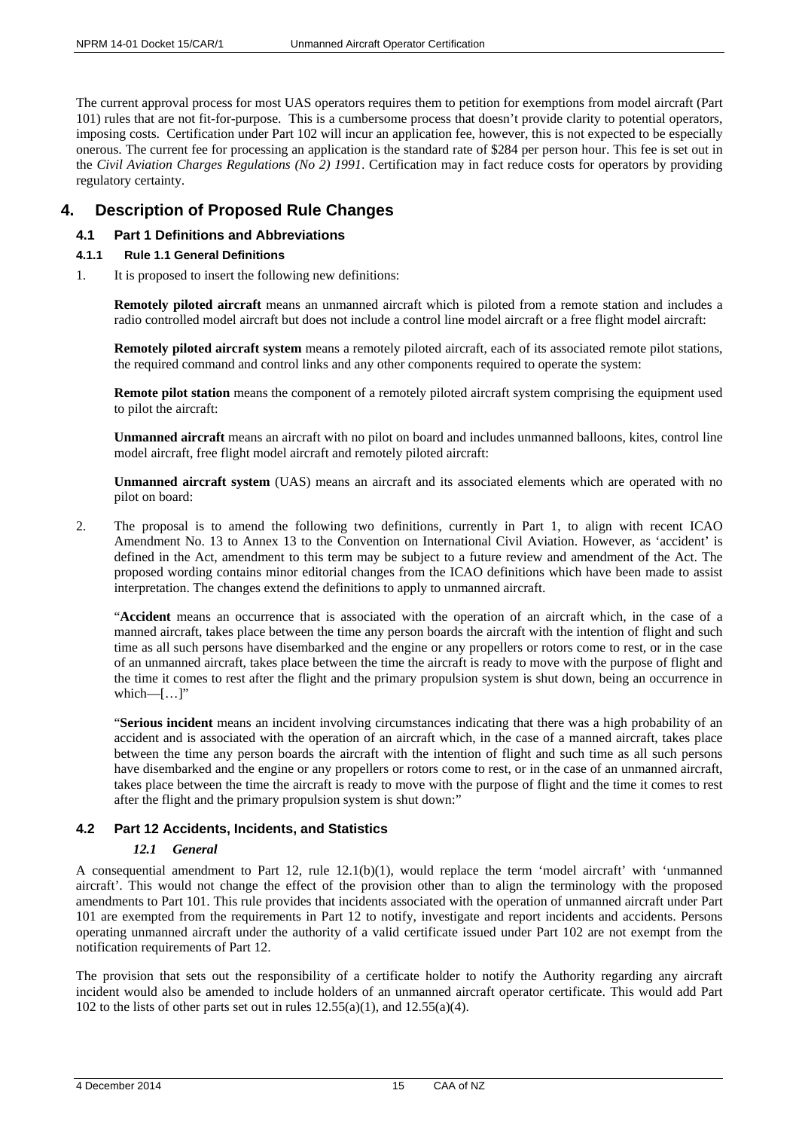The current approval process for most UAS operators requires them to petition for exemptions from model aircraft (Part 101) rules that are not fit-for-purpose. This is a cumbersome process that doesn't provide clarity to potential operators, imposing costs. Certification under Part 102 will incur an application fee, however, this is not expected to be especially onerous. The current fee for processing an application is the standard rate of \$284 per person hour. This fee is set out in the *Civil Aviation Charges Regulations (No 2) 1991*. Certification may in fact reduce costs for operators by providing regulatory certainty.

# <span id="page-14-0"></span>**4. Description of Proposed Rule Changes**

# <span id="page-14-1"></span>**4.1 Part 1 Definitions and Abbreviations**

- <span id="page-14-2"></span>**4.1.1 Rule 1.1 General Definitions**
- 1. It is proposed to insert the following new definitions:

**Remotely piloted aircraft** means an unmanned aircraft which is piloted from a remote station and includes a radio controlled model aircraft but does not include a control line model aircraft or a free flight model aircraft:

**Remotely piloted aircraft system** means a remotely piloted aircraft, each of its associated remote pilot stations, the required command and control links and any other components required to operate the system:

**Remote pilot station** means the component of a remotely piloted aircraft system comprising the equipment used to pilot the aircraft:

**Unmanned aircraft** means an aircraft with no pilot on board and includes unmanned balloons, kites, control line model aircraft, free flight model aircraft and remotely piloted aircraft:

**Unmanned aircraft system** (UAS) means an aircraft and its associated elements which are operated with no pilot on board:

2. The proposal is to amend the following two definitions, currently in Part 1, to align with recent ICAO Amendment No. 13 to Annex 13 to the Convention on International Civil Aviation. However, as 'accident' is defined in the Act, amendment to this term may be subject to a future review and amendment of the Act. The proposed wording contains minor editorial changes from the ICAO definitions which have been made to assist interpretation. The changes extend the definitions to apply to unmanned aircraft.

"**Accident** means an occurrence that is associated with the operation of an aircraft which, in the case of a manned aircraft, takes place between the time any person boards the aircraft with the intention of flight and such time as all such persons have disembarked and the engine or any propellers or rotors come to rest, or in the case of an unmanned aircraft, takes place between the time the aircraft is ready to move with the purpose of flight and the time it comes to rest after the flight and the primary propulsion system is shut down, being an occurrence in which— $[\ldots]$ "

"**Serious incident** means an incident involving circumstances indicating that there was a high probability of an accident and is associated with the operation of an aircraft which, in the case of a manned aircraft, takes place between the time any person boards the aircraft with the intention of flight and such time as all such persons have disembarked and the engine or any propellers or rotors come to rest, or in the case of an unmanned aircraft, takes place between the time the aircraft is ready to move with the purpose of flight and the time it comes to rest after the flight and the primary propulsion system is shut down:"

# <span id="page-14-3"></span>**4.2 Part 12 Accidents, Incidents, and Statistics**

## *12.1 General*

A consequential amendment to Part 12, rule 12.1(b)(1), would replace the term 'model aircraft' with 'unmanned aircraft'. This would not change the effect of the provision other than to align the terminology with the proposed amendments to Part 101. This rule provides that incidents associated with the operation of unmanned aircraft under Part 101 are exempted from the requirements in Part 12 to notify, investigate and report incidents and accidents. Persons operating unmanned aircraft under the authority of a valid certificate issued under Part 102 are not exempt from the notification requirements of Part 12.

The provision that sets out the responsibility of a certificate holder to notify the Authority regarding any aircraft incident would also be amended to include holders of an unmanned aircraft operator certificate. This would add Part 102 to the lists of other parts set out in rules  $12.55(a)(1)$ , and  $12.55(a)(4)$ .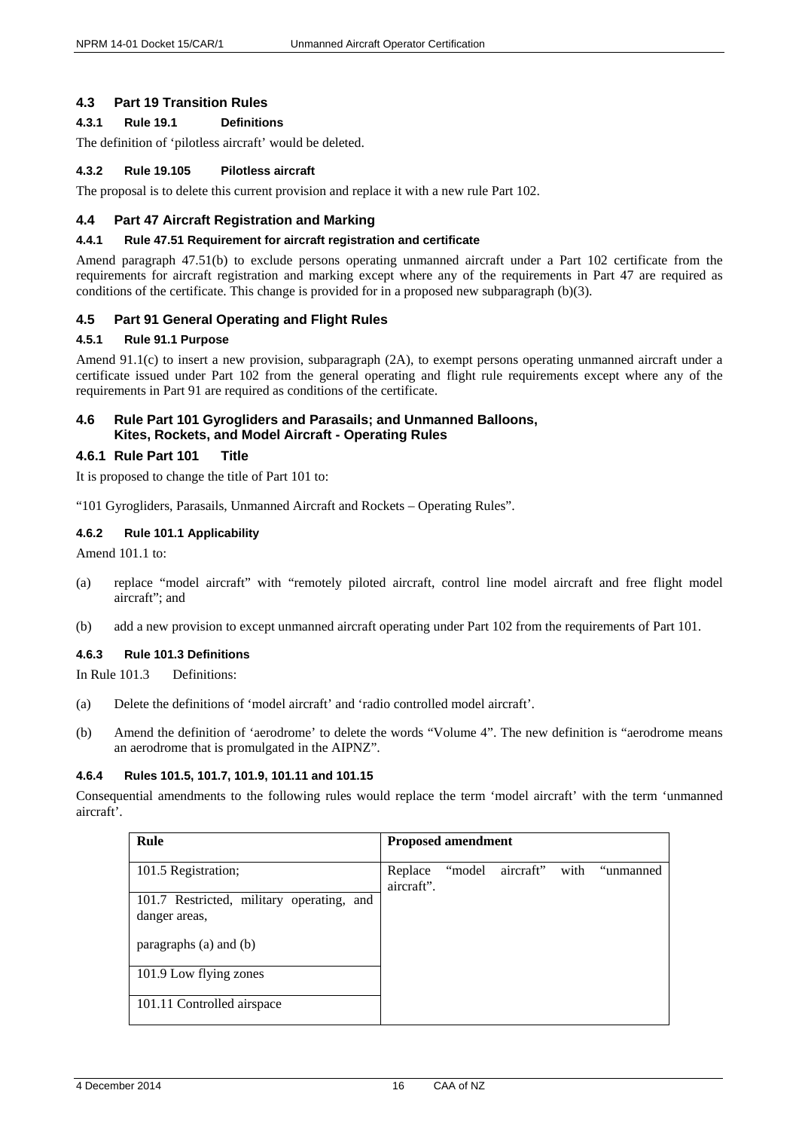## <span id="page-15-0"></span>**4.3 Part 19 Transition Rules**

# <span id="page-15-1"></span>**4.3.1 Rule 19.1 Definitions**

The definition of 'pilotless aircraft' would be deleted.

#### <span id="page-15-2"></span>**4.3.2 Rule 19.105 Pilotless aircraft**

The proposal is to delete this current provision and replace it with a new rule Part 102.

## <span id="page-15-3"></span>**4.4 Part 47 Aircraft Registration and Marking**

#### <span id="page-15-4"></span>**4.4.1 Rule 47.51 Requirement for aircraft registration and certificate**

Amend paragraph 47.51(b) to exclude persons operating unmanned aircraft under a Part 102 certificate from the requirements for aircraft registration and marking except where any of the requirements in Part 47 are required as conditions of the certificate. This change is provided for in a proposed new subparagraph (b)(3).

## <span id="page-15-5"></span>**4.5 Part 91 General Operating and Flight Rules**

## <span id="page-15-6"></span>**4.5.1 Rule 91.1 Purpose**

Amend 91.1(c) to insert a new provision, subparagraph (2A), to exempt persons operating unmanned aircraft under a certificate issued under Part 102 from the general operating and flight rule requirements except where any of the requirements in Part 91 are required as conditions of the certificate.

## <span id="page-15-7"></span>**4.6 Rule Part 101 Gyrogliders and Parasails; and Unmanned Balloons, Kites, Rockets, and Model Aircraft - Operating Rules**

## <span id="page-15-8"></span>**4.6.1 Rule Part 101 Title**

It is proposed to change the title of Part 101 to:

"101 Gyrogliders, Parasails, Unmanned Aircraft and Rockets – Operating Rules".

## <span id="page-15-9"></span>**4.6.2 Rule 101.1 Applicability**

Amend 101.1 to:

- (a) replace "model aircraft" with "remotely piloted aircraft, control line model aircraft and free flight model aircraft"; and
- (b) add a new provision to except unmanned aircraft operating under Part 102 from the requirements of Part 101.

## <span id="page-15-10"></span>**4.6.3 Rule 101.3 Definitions**

In Rule 101.3 Definitions:

- (a) Delete the definitions of 'model aircraft' and 'radio controlled model aircraft'.
- (b) Amend the definition of 'aerodrome' to delete the words "Volume 4". The new definition is "aerodrome means an aerodrome that is promulgated in the AIPNZ".

## <span id="page-15-11"></span>**4.6.4 Rules 101.5, 101.7, 101.9, 101.11 and 101.15**

Consequential amendments to the following rules would replace the term 'model aircraft' with the term 'unmanned aircraft'.

| Rule                                                       | <b>Proposed amendment</b> |        |           |      |           |
|------------------------------------------------------------|---------------------------|--------|-----------|------|-----------|
| 101.5 Registration;                                        | Replace<br>aircraft".     | "model | aircraft" | with | "unmanned |
| 101.7 Restricted, military operating, and<br>danger areas, |                           |        |           |      |           |
| paragraphs (a) and (b)                                     |                           |        |           |      |           |
| 101.9 Low flying zones                                     |                           |        |           |      |           |
| 101.11 Controlled airspace                                 |                           |        |           |      |           |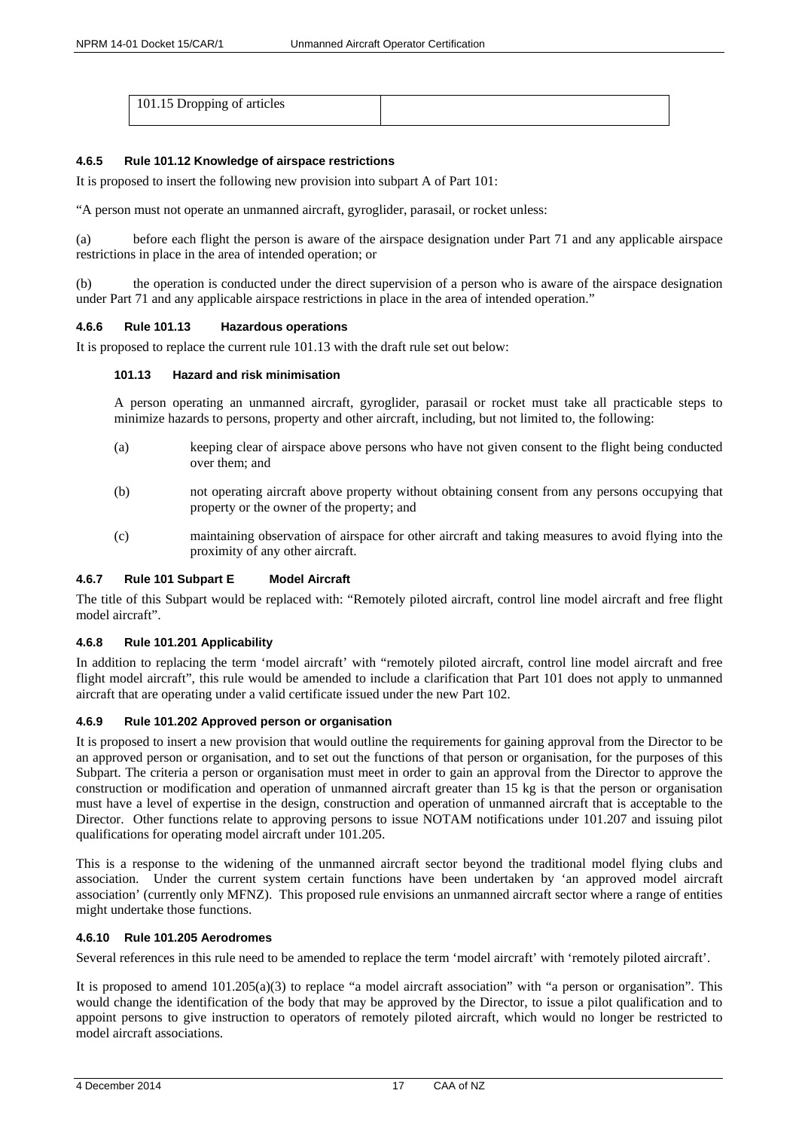| 101.15 Dropping of articles |  |
|-----------------------------|--|
|                             |  |

#### <span id="page-16-0"></span>**4.6.5 Rule 101.12 Knowledge of airspace restrictions**

It is proposed to insert the following new provision into subpart A of Part 101:

"A person must not operate an unmanned aircraft, gyroglider, parasail, or rocket unless:

(a) before each flight the person is aware of the airspace designation under Part 71 and any applicable airspace restrictions in place in the area of intended operation; or

(b) the operation is conducted under the direct supervision of a person who is aware of the airspace designation under Part 71 and any applicable airspace restrictions in place in the area of intended operation."

#### <span id="page-16-1"></span>**4.6.6 Rule 101.13 Hazardous operations**

It is proposed to replace the current rule 101.13 with the draft rule set out below:

## **101.13 Hazard and risk minimisation**

A person operating an unmanned aircraft, gyroglider, parasail or rocket must take all practicable steps to minimize hazards to persons, property and other aircraft, including, but not limited to, the following:

- (a) keeping clear of airspace above persons who have not given consent to the flight being conducted over them; and
- (b) not operating aircraft above property without obtaining consent from any persons occupying that property or the owner of the property; and
- (c) maintaining observation of airspace for other aircraft and taking measures to avoid flying into the proximity of any other aircraft.

## <span id="page-16-2"></span>**4.6.7 Rule 101 Subpart E Model Aircraft**

The title of this Subpart would be replaced with: "Remotely piloted aircraft, control line model aircraft and free flight model aircraft".

#### <span id="page-16-3"></span>**4.6.8 Rule 101.201 Applicability**

In addition to replacing the term 'model aircraft' with "remotely piloted aircraft, control line model aircraft and free flight model aircraft", this rule would be amended to include a clarification that Part 101 does not apply to unmanned aircraft that are operating under a valid certificate issued under the new Part 102.

#### <span id="page-16-4"></span>**4.6.9 Rule 101.202 Approved person or organisation**

It is proposed to insert a new provision that would outline the requirements for gaining approval from the Director to be an approved person or organisation, and to set out the functions of that person or organisation, for the purposes of this Subpart. The criteria a person or organisation must meet in order to gain an approval from the Director to approve the construction or modification and operation of unmanned aircraft greater than 15 kg is that the person or organisation must have a level of expertise in the design, construction and operation of unmanned aircraft that is acceptable to the Director. Other functions relate to approving persons to issue NOTAM notifications under 101.207 and issuing pilot qualifications for operating model aircraft under 101.205.

This is a response to the widening of the unmanned aircraft sector beyond the traditional model flying clubs and association. Under the current system certain functions have been undertaken by 'an approved model aircraft association' (currently only MFNZ). This proposed rule envisions an unmanned aircraft sector where a range of entities might undertake those functions.

#### <span id="page-16-5"></span>**4.6.10 Rule 101.205 Aerodromes**

Several references in this rule need to be amended to replace the term 'model aircraft' with 'remotely piloted aircraft'.

It is proposed to amend  $101.205(a)(3)$  to replace "a model aircraft association" with "a person or organisation". This would change the identification of the body that may be approved by the Director, to issue a pilot qualification and to appoint persons to give instruction to operators of remotely piloted aircraft, which would no longer be restricted to model aircraft associations.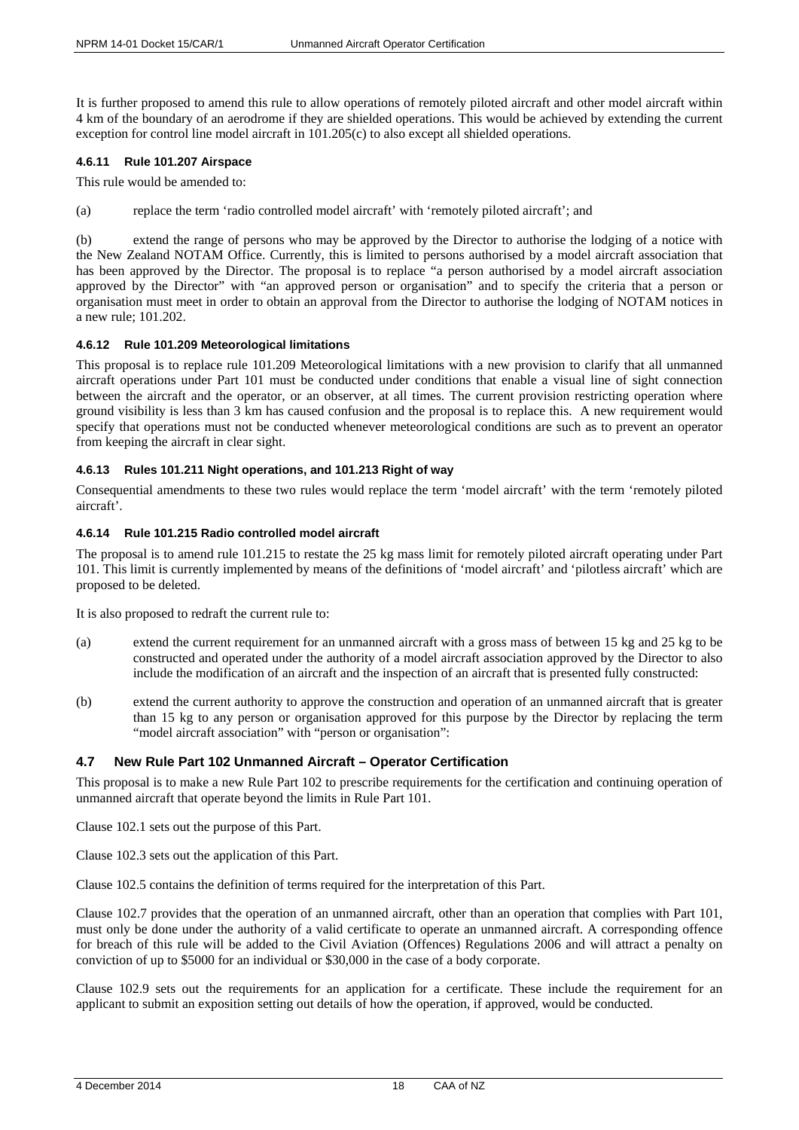It is further proposed to amend this rule to allow operations of remotely piloted aircraft and other model aircraft within 4 km of the boundary of an aerodrome if they are shielded operations. This would be achieved by extending the current exception for control line model aircraft in 101.205(c) to also except all shielded operations.

#### <span id="page-17-0"></span>**4.6.11 Rule 101.207 Airspace**

This rule would be amended to:

(a) replace the term 'radio controlled model aircraft' with 'remotely piloted aircraft'; and

(b) extend the range of persons who may be approved by the Director to authorise the lodging of a notice with the New Zealand NOTAM Office. Currently, this is limited to persons authorised by a model aircraft association that has been approved by the Director. The proposal is to replace "a person authorised by a model aircraft association approved by the Director" with "an approved person or organisation" and to specify the criteria that a person or organisation must meet in order to obtain an approval from the Director to authorise the lodging of NOTAM notices in a new rule; 101.202.

#### <span id="page-17-1"></span>**4.6.12 Rule 101.209 Meteorological limitations**

This proposal is to replace rule 101.209 Meteorological limitations with a new provision to clarify that all unmanned aircraft operations under Part 101 must be conducted under conditions that enable a visual line of sight connection between the aircraft and the operator, or an observer, at all times. The current provision restricting operation where ground visibility is less than 3 km has caused confusion and the proposal is to replace this. A new requirement would specify that operations must not be conducted whenever meteorological conditions are such as to prevent an operator from keeping the aircraft in clear sight.

#### <span id="page-17-2"></span>**4.6.13 Rules 101.211 Night operations, and 101.213 Right of way**

Consequential amendments to these two rules would replace the term 'model aircraft' with the term 'remotely piloted aircraft'.

#### <span id="page-17-3"></span>**4.6.14 Rule 101.215 Radio controlled model aircraft**

The proposal is to amend rule 101.215 to restate the 25 kg mass limit for remotely piloted aircraft operating under Part 101. This limit is currently implemented by means of the definitions of 'model aircraft' and 'pilotless aircraft' which are proposed to be deleted.

It is also proposed to redraft the current rule to:

- (a) extend the current requirement for an unmanned aircraft with a gross mass of between 15 kg and 25 kg to be constructed and operated under the authority of a model aircraft association approved by the Director to also include the modification of an aircraft and the inspection of an aircraft that is presented fully constructed:
- (b) extend the current authority to approve the construction and operation of an unmanned aircraft that is greater than 15 kg to any person or organisation approved for this purpose by the Director by replacing the term "model aircraft association" with "person or organisation":

## <span id="page-17-4"></span>**4.7 New Rule Part 102 Unmanned Aircraft – Operator Certification**

This proposal is to make a new Rule Part 102 to prescribe requirements for the certification and continuing operation of unmanned aircraft that operate beyond the limits in Rule Part 101.

Clause 102.1 sets out the purpose of this Part.

Clause 102.3 sets out the application of this Part.

Clause 102.5 contains the definition of terms required for the interpretation of this Part.

Clause 102.7 provides that the operation of an unmanned aircraft, other than an operation that complies with Part 101, must only be done under the authority of a valid certificate to operate an unmanned aircraft. A corresponding offence for breach of this rule will be added to the Civil Aviation (Offences) Regulations 2006 and will attract a penalty on conviction of up to \$5000 for an individual or \$30,000 in the case of a body corporate.

Clause 102.9 sets out the requirements for an application for a certificate. These include the requirement for an applicant to submit an exposition setting out details of how the operation, if approved, would be conducted.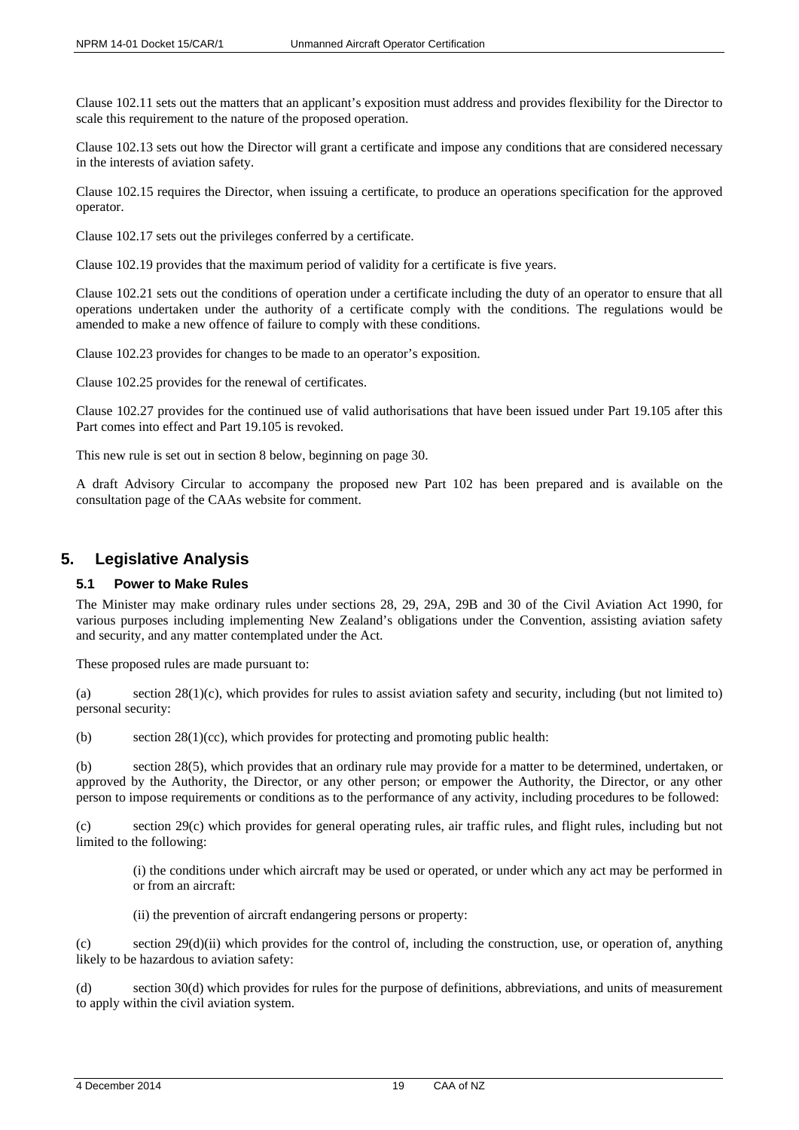Clause 102.11 sets out the matters that an applicant's exposition must address and provides flexibility for the Director to scale this requirement to the nature of the proposed operation.

Clause 102.13 sets out how the Director will grant a certificate and impose any conditions that are considered necessary in the interests of aviation safety.

Clause 102.15 requires the Director, when issuing a certificate, to produce an operations specification for the approved operator.

Clause 102.17 sets out the privileges conferred by a certificate.

Clause 102.19 provides that the maximum period of validity for a certificate is five years.

Clause 102.21 sets out the conditions of operation under a certificate including the duty of an operator to ensure that all operations undertaken under the authority of a certificate comply with the conditions. The regulations would be amended to make a new offence of failure to comply with these conditions.

Clause 102.23 provides for changes to be made to an operator's exposition.

Clause 102.25 provides for the renewal of certificates.

Clause 102.27 provides for the continued use of valid authorisations that have been issued under Part 19.105 after this Part comes into effect and Part 19.105 is revoked.

This new rule is set out in section 8 below, beginning on page 30.

A draft Advisory Circular to accompany the proposed new Part 102 has been prepared and is available on the consultation page of the CAAs website for comment.

# <span id="page-18-0"></span>**5. Legislative Analysis**

## <span id="page-18-1"></span>**5.1 Power to Make Rules**

The Minister may make ordinary rules under sections 28, 29, 29A, 29B and 30 of the Civil Aviation Act 1990, for various purposes including implementing New Zealand's obligations under the Convention, assisting aviation safety and security, and any matter contemplated under the Act.

These proposed rules are made pursuant to:

(a) section 28(1)(c), which provides for rules to assist aviation safety and security, including (but not limited to) personal security:

(b) section  $28(1)(cc)$ , which provides for protecting and promoting public health:

(b) section 28(5), which provides that an ordinary rule may provide for a matter to be determined, undertaken, or approved by the Authority, the Director, or any other person; or empower the Authority, the Director, or any other person to impose requirements or conditions as to the performance of any activity, including procedures to be followed:

(c) section 29(c) which provides for general operating rules, air traffic rules, and flight rules, including but not limited to the following:

(i) the conditions under which aircraft may be used or operated, or under which any act may be performed in or from an aircraft:

(ii) the prevention of aircraft endangering persons or property:

(c) section  $29(d)(ii)$  which provides for the control of, including the construction, use, or operation of, anything likely to be hazardous to aviation safety:

(d) section 30(d) which provides for rules for the purpose of definitions, abbreviations, and units of measurement to apply within the civil aviation system.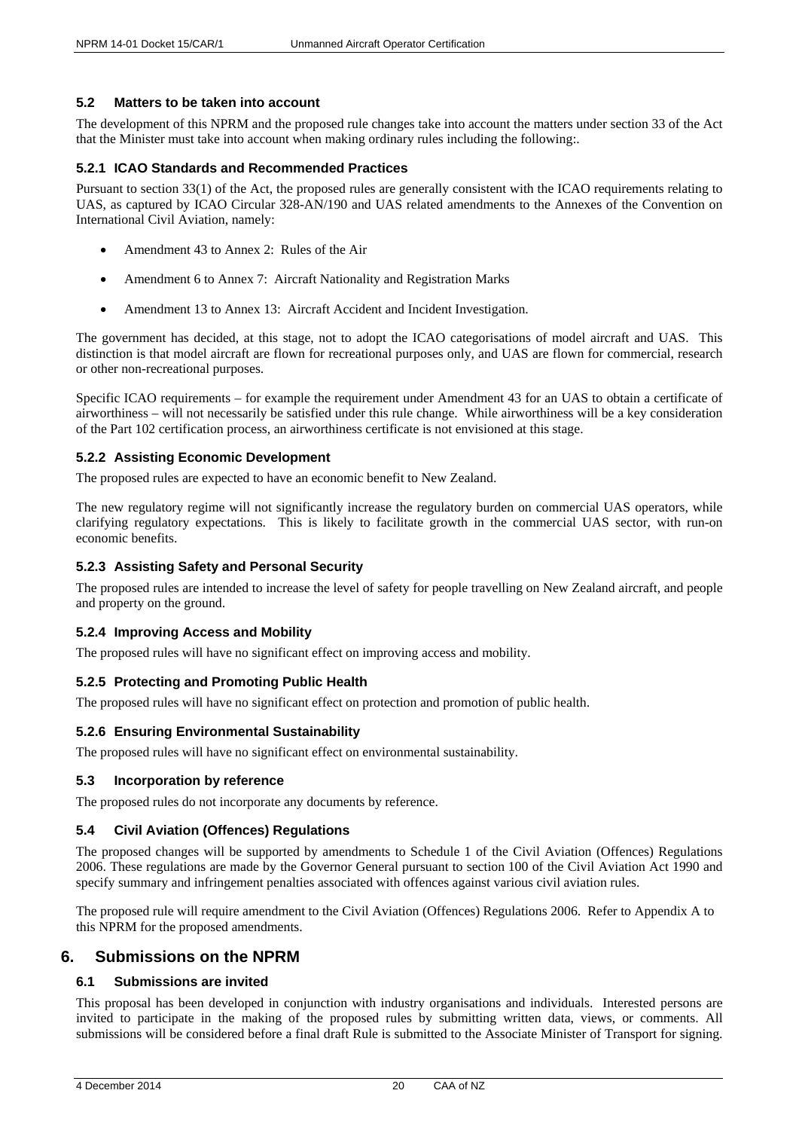# <span id="page-19-0"></span>**5.2 Matters to be taken into account**

The development of this NPRM and the proposed rule changes take into account the matters under section 33 of the Act that the Minister must take into account when making ordinary rules including the following:.

## <span id="page-19-1"></span>**5.2.1 ICAO Standards and Recommended Practices**

Pursuant to section 33(1) of the Act, the proposed rules are generally consistent with the ICAO requirements relating to UAS, as captured by ICAO Circular 328-AN/190 and UAS related amendments to the Annexes of the Convention on International Civil Aviation, namely:

- Amendment 43 to Annex 2: Rules of the Air
- Amendment 6 to Annex 7: Aircraft Nationality and Registration Marks
- Amendment 13 to Annex 13: Aircraft Accident and Incident Investigation.

The government has decided, at this stage, not to adopt the ICAO categorisations of model aircraft and UAS. This distinction is that model aircraft are flown for recreational purposes only, and UAS are flown for commercial, research or other non-recreational purposes.

Specific ICAO requirements – for example the requirement under Amendment 43 for an UAS to obtain a certificate of airworthiness – will not necessarily be satisfied under this rule change. While airworthiness will be a key consideration of the Part 102 certification process, an airworthiness certificate is not envisioned at this stage.

# <span id="page-19-2"></span>**5.2.2 Assisting Economic Development**

The proposed rules are expected to have an economic benefit to New Zealand.

The new regulatory regime will not significantly increase the regulatory burden on commercial UAS operators, while clarifying regulatory expectations. This is likely to facilitate growth in the commercial UAS sector, with run-on economic benefits.

## <span id="page-19-3"></span>**5.2.3 Assisting Safety and Personal Security**

The proposed rules are intended to increase the level of safety for people travelling on New Zealand aircraft, and people and property on the ground.

# <span id="page-19-4"></span>**5.2.4 Improving Access and Mobility**

The proposed rules will have no significant effect on improving access and mobility.

## <span id="page-19-5"></span>**5.2.5 Protecting and Promoting Public Health**

The proposed rules will have no significant effect on protection and promotion of public health.

## <span id="page-19-6"></span>**5.2.6 Ensuring Environmental Sustainability**

The proposed rules will have no significant effect on environmental sustainability.

## <span id="page-19-7"></span>**5.3 Incorporation by reference**

The proposed rules do not incorporate any documents by reference.

# <span id="page-19-8"></span>**5.4 Civil Aviation (Offences) Regulations**

The proposed changes will be supported by amendments to Schedule 1 of the Civil Aviation (Offences) Regulations 2006. These regulations are made by the Governor General pursuant to section 100 of the Civil Aviation Act 1990 and specify summary and infringement penalties associated with offences against various civil aviation rules.

The proposed rule will require amendment to the Civil Aviation (Offences) Regulations 2006. Refer to Appendix A to this NPRM for the proposed amendments.

# <span id="page-19-9"></span>**6. Submissions on the NPRM**

# <span id="page-19-10"></span>**6.1 Submissions are invited**

This proposal has been developed in conjunction with industry organisations and individuals. Interested persons are invited to participate in the making of the proposed rules by submitting written data, views, or comments. All submissions will be considered before a final draft Rule is submitted to the Associate Minister of Transport for signing.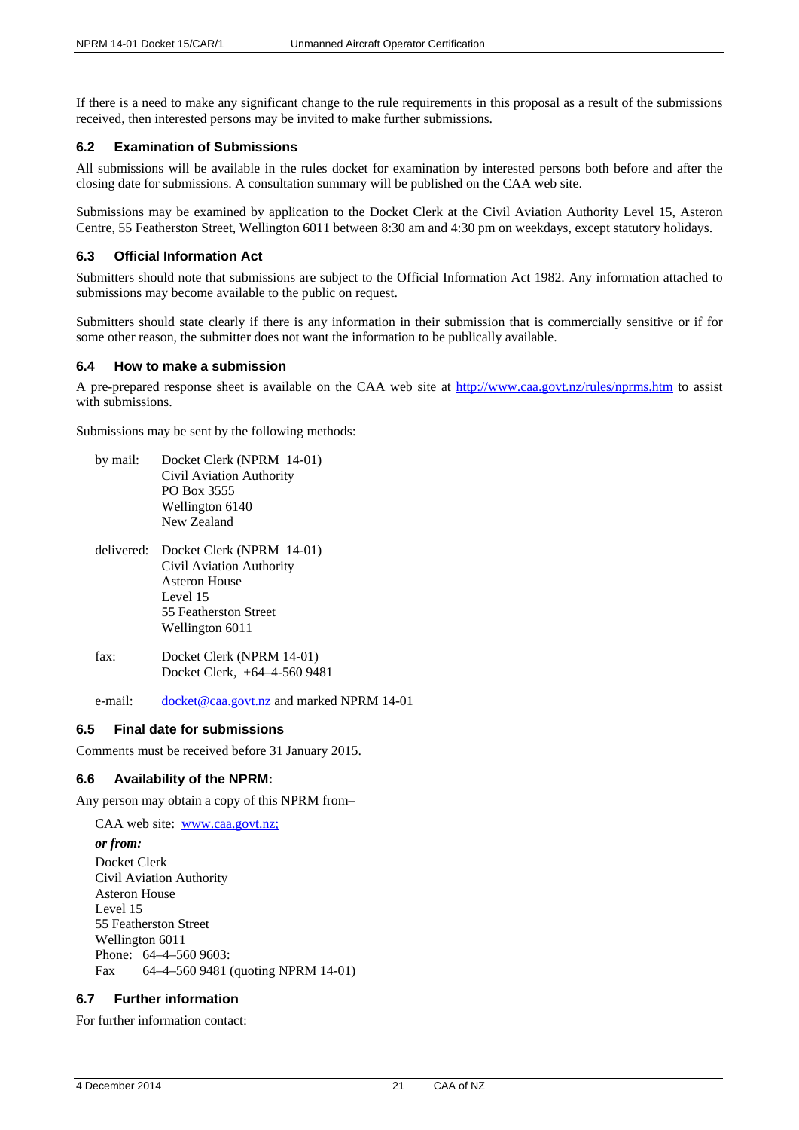If there is a need to make any significant change to the rule requirements in this proposal as a result of the submissions received, then interested persons may be invited to make further submissions.

## <span id="page-20-0"></span>**6.2 Examination of Submissions**

All submissions will be available in the rules docket for examination by interested persons both before and after the closing date for submissions. A consultation summary will be published on the CAA web site.

Submissions may be examined by application to the Docket Clerk at the Civil Aviation Authority Level 15, Asteron Centre, 55 Featherston Street, Wellington 6011 between 8:30 am and 4:30 pm on weekdays, except statutory holidays.

## <span id="page-20-1"></span>**6.3 Official Information Act**

Submitters should note that submissions are subject to the Official Information Act 1982. Any information attached to submissions may become available to the public on request.

Submitters should state clearly if there is any information in their submission that is commercially sensitive or if for some other reason, the submitter does not want the information to be publically available.

## <span id="page-20-2"></span>**6.4 How to make a submission**

A pre-prepared response sheet is available on the CAA web site at<http://www.caa.govt.nz/rules/nprms.htm> to assist with submissions.

Submissions may be sent by the following methods:

by mail: Docket Clerk (NPRM 14-01) Civil Aviation Authority PO Box 3555 Wellington 6140 New Zealand delivered: Docket Clerk (NPRM 14-01) Civil Aviation Authority Asteron House Level 15 55 Featherston Street Wellington 6011 fax: Docket Clerk (NPRM 14-01) Docket Clerk, +64–4-560 9481

e-mail: [docket@caa.govt.nz](mailto:docket@caa.govt.nz) and marked NPRM 14-01

## <span id="page-20-3"></span>**6.5 Final date for submissions**

Comments must be received before 31 January 2015.

# <span id="page-20-4"></span>**6.6 Availability of the NPRM:**

Any person may obtain a copy of this NPRM from–

CAA web site: [www.caa.govt.nz;](http://www.caa.govt.nz;/) *or from:* Docket Clerk Civil Aviation Authority Asteron House Level 15 55 Featherston Street Wellington 6011 Phone: 64–4–560 9603: Fax 64–4–560 9481 (quoting NPRM 14-01)

# <span id="page-20-5"></span>**6.7 Further information**

For further information contact: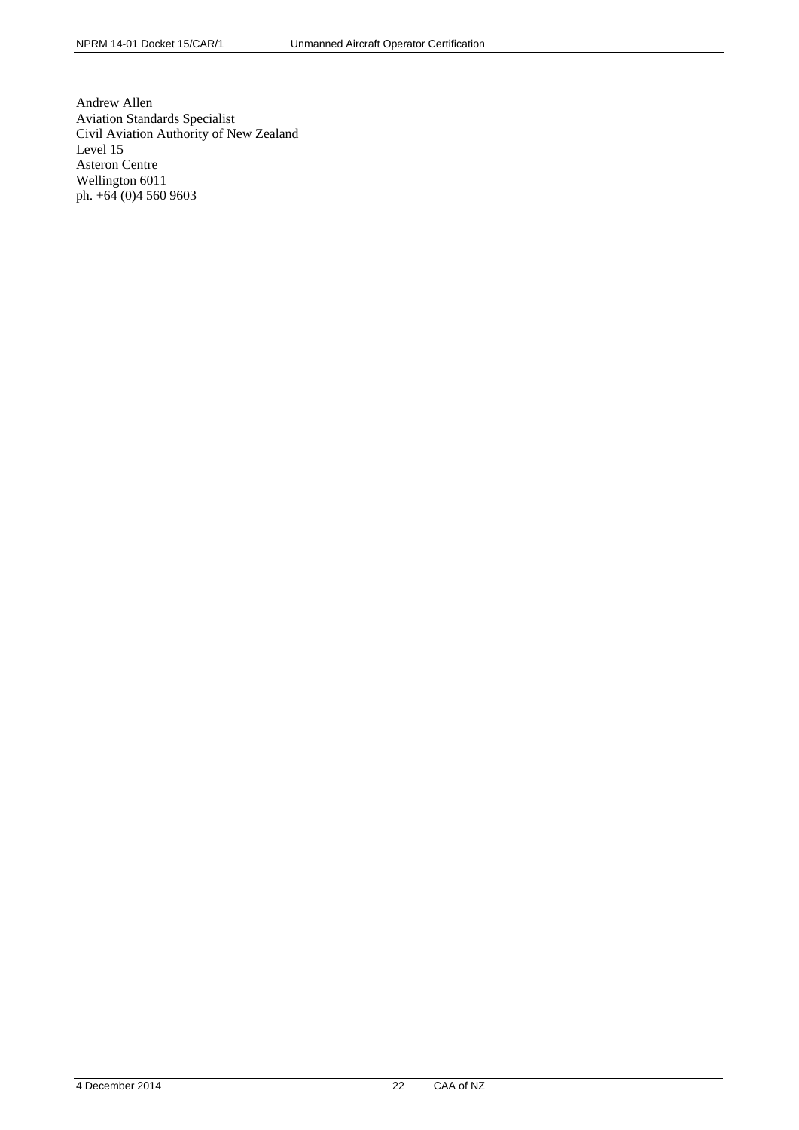Andrew Allen Aviation Standards Specialist Civil Aviation Authority of New Zealand Level 15 Asteron Centre Wellington 6011 ph. +64 (0)4 560 9603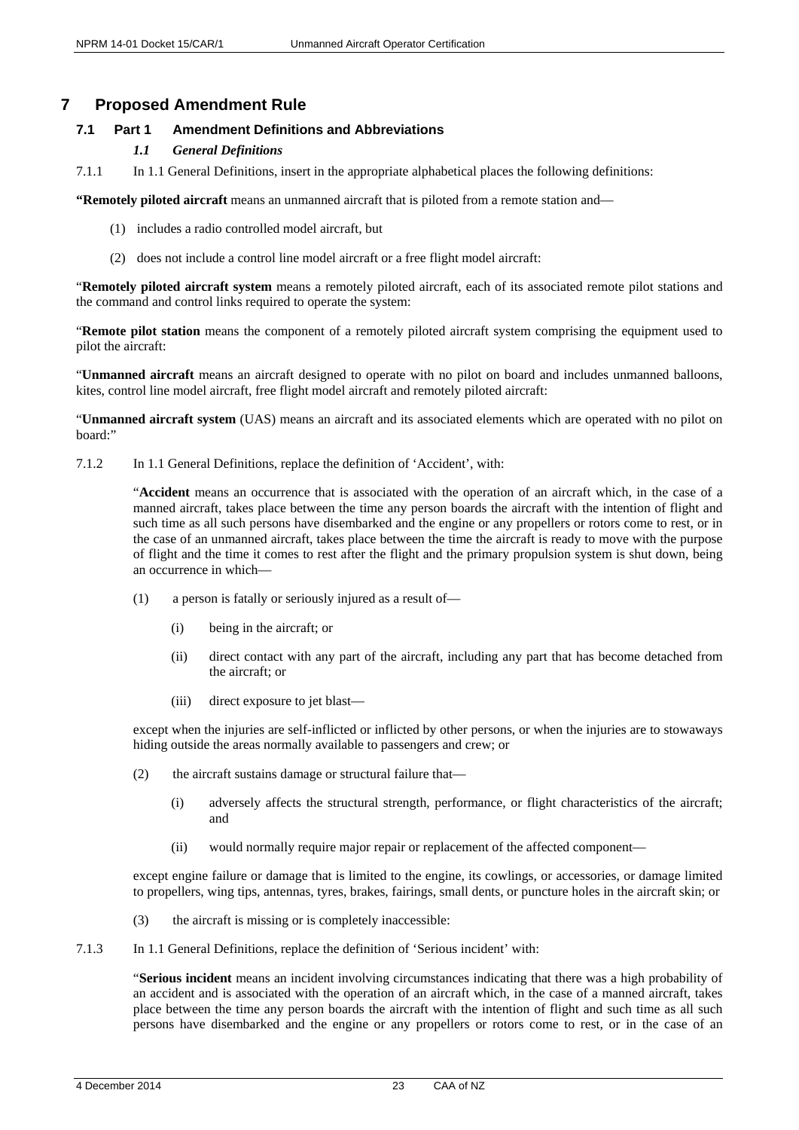# <span id="page-22-0"></span>**7 Proposed Amendment Rule**

# <span id="page-22-1"></span>**7.1 Part 1 Amendment Definitions and Abbreviations**

# *1.1 General Definitions*

7.1.1 In 1.1 General Definitions, insert in the appropriate alphabetical places the following definitions:

**"Remotely piloted aircraft** means an unmanned aircraft that is piloted from a remote station and—

- (1) includes a radio controlled model aircraft, but
- (2) does not include a control line model aircraft or a free flight model aircraft:

"**Remotely piloted aircraft system** means a remotely piloted aircraft, each of its associated remote pilot stations and the command and control links required to operate the system:

"**Remote pilot station** means the component of a remotely piloted aircraft system comprising the equipment used to pilot the aircraft:

"**Unmanned aircraft** means an aircraft designed to operate with no pilot on board and includes unmanned balloons, kites, control line model aircraft, free flight model aircraft and remotely piloted aircraft:

"**Unmanned aircraft system** (UAS) means an aircraft and its associated elements which are operated with no pilot on board:"

7.1.2 In 1.1 General Definitions, replace the definition of 'Accident', with:

"**Accident** means an occurrence that is associated with the operation of an aircraft which, in the case of a manned aircraft, takes place between the time any person boards the aircraft with the intention of flight and such time as all such persons have disembarked and the engine or any propellers or rotors come to rest, or in the case of an unmanned aircraft, takes place between the time the aircraft is ready to move with the purpose of flight and the time it comes to rest after the flight and the primary propulsion system is shut down, being an occurrence in which—

- (1) a person is fatally or seriously injured as a result of—
	- (i) being in the aircraft; or
	- (ii) direct contact with any part of the aircraft, including any part that has become detached from the aircraft; or
	- (iii) direct exposure to jet blast—

except when the injuries are self-inflicted or inflicted by other persons, or when the injuries are to stowaways hiding outside the areas normally available to passengers and crew; or

- (2) the aircraft sustains damage or structural failure that—
	- (i) adversely affects the structural strength, performance, or flight characteristics of the aircraft; and
	- (ii) would normally require major repair or replacement of the affected component—

except engine failure or damage that is limited to the engine, its cowlings, or accessories, or damage limited to propellers, wing tips, antennas, tyres, brakes, fairings, small dents, or puncture holes in the aircraft skin; or

- (3) the aircraft is missing or is completely inaccessible:
- 7.1.3 In 1.1 General Definitions, replace the definition of 'Serious incident' with:

"**Serious incident** means an incident involving circumstances indicating that there was a high probability of an accident and is associated with the operation of an aircraft which, in the case of a manned aircraft, takes place between the time any person boards the aircraft with the intention of flight and such time as all such persons have disembarked and the engine or any propellers or rotors come to rest, or in the case of an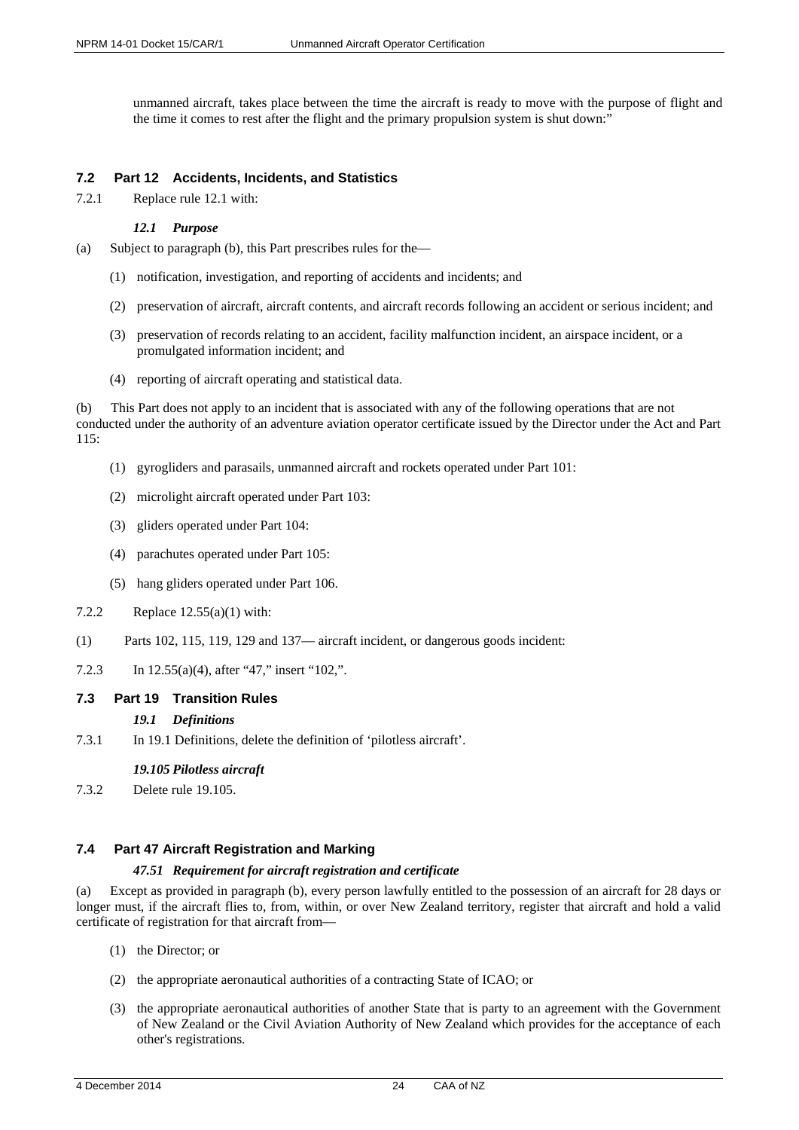unmanned aircraft, takes place between the time the aircraft is ready to move with the purpose of flight and the time it comes to rest after the flight and the primary propulsion system is shut down:"

## <span id="page-23-0"></span>**7.2 Part 12 Accidents, Incidents, and Statistics**

7.2.1 Replace rule 12.1 with:

## *12.1 Purpose*

- (a) Subject to paragraph (b), this Part prescribes rules for the—
	- (1) notification, investigation, and reporting of accidents and incidents; and
	- (2) preservation of aircraft, aircraft contents, and aircraft records following an accident or serious incident; and
	- (3) preservation of records relating to an accident, facility malfunction incident, an airspace incident, or a promulgated information incident; and
	- (4) reporting of aircraft operating and statistical data.

(b) This Part does not apply to an incident that is associated with any of the following operations that are not conducted under the authority of an adventure aviation operator certificate issued by the Director under the Act and Part 115:

- (1) gyrogliders and parasails, unmanned aircraft and rockets operated under Part 101:
- (2) microlight aircraft operated under Part 103:
- (3) gliders operated under Part 104:
- (4) parachutes operated under Part 105:
- (5) hang gliders operated under Part 106.
- 7.2.2 Replace 12.55(a)(1) with:
- (1) Parts 102, 115, 119, 129 and 137— aircraft incident, or dangerous goods incident:
- 7.2.3 In 12.55(a)(4), after "47," insert "102,".

## <span id="page-23-1"></span>**7.3 Part 19 Transition Rules**

## *19.1 Definitions*

7.3.1 In 19.1 Definitions, delete the definition of 'pilotless aircraft'.

## *19.105 Pilotless aircraft*

7.3.2 Delete rule 19.105.

# <span id="page-23-2"></span>**7.4 Part 47 Aircraft Registration and Marking**

## *47.51 Requirement for aircraft registration and certificate*

(a) Except as provided in paragraph (b), every person lawfully entitled to the possession of an aircraft for 28 days or longer must, if the aircraft flies to, from, within, or over New Zealand territory, register that aircraft and hold a valid certificate of registration for that aircraft from—

- (1) the Director; or
- (2) the appropriate aeronautical authorities of a contracting State of ICAO; or
- (3) the appropriate aeronautical authorities of another State that is party to an agreement with the Government of New Zealand or the Civil Aviation Authority of New Zealand which provides for the acceptance of each other's registrations.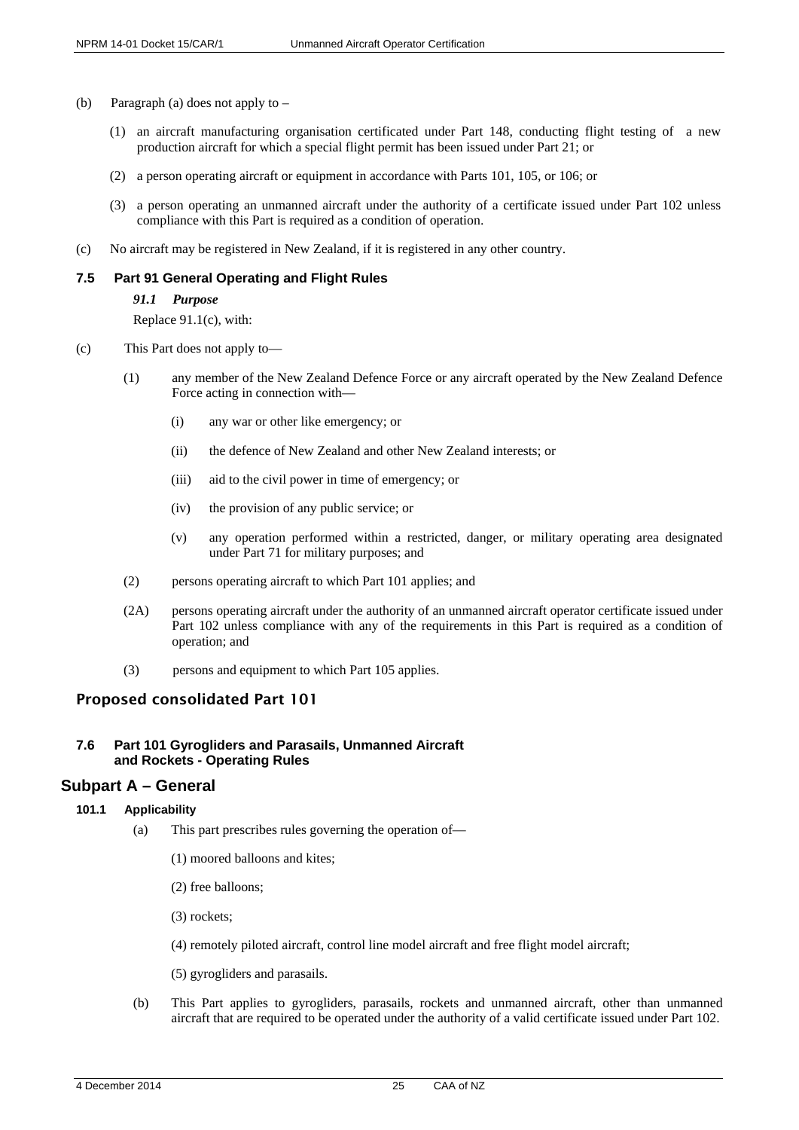- (b) Paragraph (a) does not apply to
	- (1) an aircraft manufacturing organisation certificated under Part 148, conducting flight testing of a new production aircraft for which a special flight permit has been issued under Part 21; or
	- (2) a person operating aircraft or equipment in accordance with Parts 101, 105, or 106; or
	- (3) a person operating an unmanned aircraft under the authority of a certificate issued under Part 102 unless compliance with this Part is required as a condition of operation.
- (c) No aircraft may be registered in New Zealand, if it is registered in any other country.

#### <span id="page-24-0"></span>**7.5 Part 91 General Operating and Flight Rules**

#### *91.1 Purpose*

Replace 91.1(c), with:

- (c) This Part does not apply to—
	- (1) any member of the New Zealand Defence Force or any aircraft operated by the New Zealand Defence Force acting in connection with—
		- (i) any war or other like emergency; or
		- (ii) the defence of New Zealand and other New Zealand interests; or
		- (iii) aid to the civil power in time of emergency; or
		- (iv) the provision of any public service; or
		- (v) any operation performed within a restricted, danger, or military operating area designated under Part 71 for military purposes; and
	- (2) persons operating aircraft to which Part 101 applies; and
	- (2A) persons operating aircraft under the authority of an unmanned aircraft operator certificate issued under Part 102 unless compliance with any of the requirements in this Part is required as a condition of operation; and
	- (3) persons and equipment to which Part 105 applies.

# Proposed consolidated Part 101

## <span id="page-24-1"></span>**7.6 Part 101 Gyrogliders and Parasails, Unmanned Aircraft and Rockets - Operating Rules**

# <span id="page-24-2"></span>**Subpart A – General**

<span id="page-24-3"></span>**101.1 Applicability**

- (a) This part prescribes rules governing the operation of—
	- (1) moored balloons and kites;
	- (2) free balloons;
	- (3) rockets;
	- (4) remotely piloted aircraft, control line model aircraft and free flight model aircraft;
	- (5) gyrogliders and parasails.
- (b) This Part applies to gyrogliders, parasails, rockets and unmanned aircraft, other than unmanned aircraft that are required to be operated under the authority of a valid certificate issued under Part 102.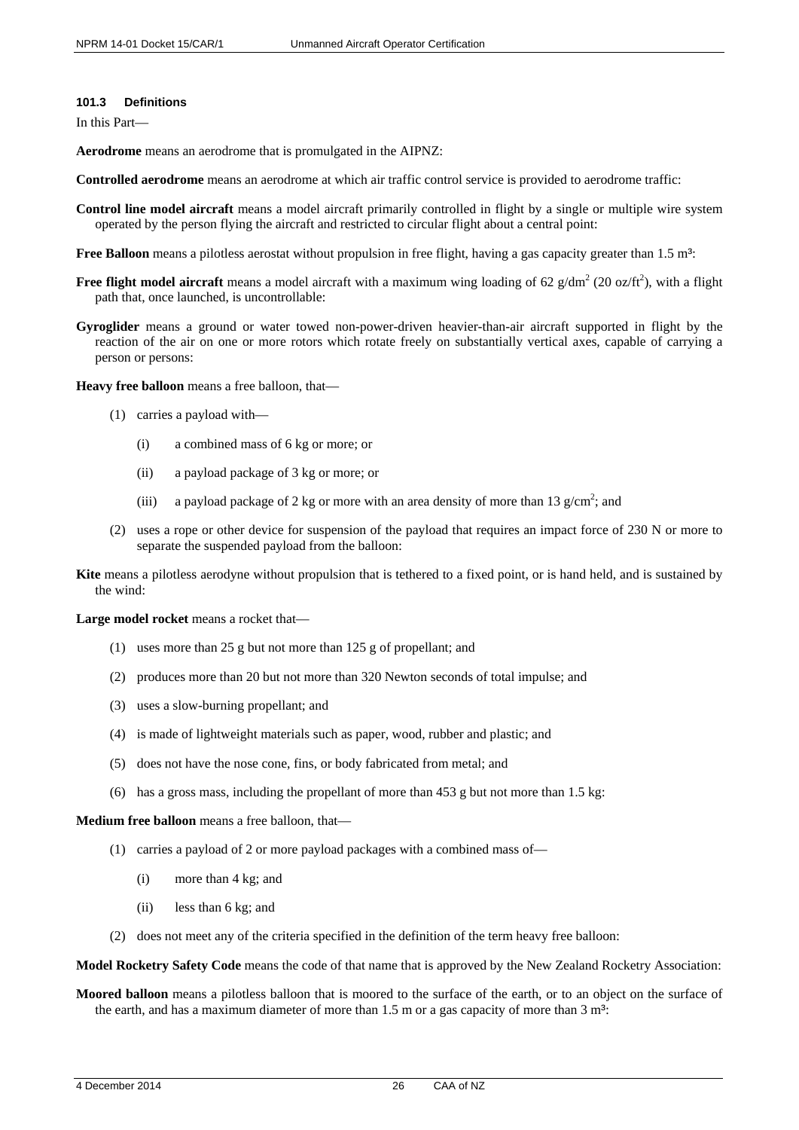#### <span id="page-25-0"></span>**101.3 Definitions**

In this Part—

**Aerodrome** means an aerodrome that is promulgated in the AIPNZ:

- **Controlled aerodrome** means an aerodrome at which air traffic control service is provided to aerodrome traffic:
- **Control line model aircraft** means a model aircraft primarily controlled in flight by a single or multiple wire system operated by the person flying the aircraft and restricted to circular flight about a central point:
- **Free Balloon** means a pilotless aerostat without propulsion in free flight, having a gas capacity greater than 1.5 m<sup>3</sup>:
- **Free flight model aircraft** means a model aircraft with a maximum wing loading of 62  $g/dm^2$  (20 oz/ft<sup>2</sup>), with a flight path that, once launched, is uncontrollable:
- **Gyroglider** means a ground or water towed non-power-driven heavier-than-air aircraft supported in flight by the reaction of the air on one or more rotors which rotate freely on substantially vertical axes, capable of carrying a person or persons:

**Heavy free balloon** means a free balloon, that—

- (1) carries a payload with—
	- (i) a combined mass of 6 kg or more; or
	- (ii) a payload package of 3 kg or more; or
	- (iii) a payload package of 2 kg or more with an area density of more than 13  $g/cm^2$ ; and
- (2) uses a rope or other device for suspension of the payload that requires an impact force of 230 N or more to separate the suspended payload from the balloon:

**Kite** means a pilotless aerodyne without propulsion that is tethered to a fixed point, or is hand held, and is sustained by the wind:

**Large model rocket** means a rocket that—

- (1) uses more than 25 g but not more than 125 g of propellant; and
- (2) produces more than 20 but not more than 320 Newton seconds of total impulse; and
- (3) uses a slow-burning propellant; and
- (4) is made of lightweight materials such as paper, wood, rubber and plastic; and
- (5) does not have the nose cone, fins, or body fabricated from metal; and
- (6) has a gross mass, including the propellant of more than 453 g but not more than 1.5 kg:

**Medium free balloon** means a free balloon, that—

- (1) carries a payload of 2 or more payload packages with a combined mass of—
	- (i) more than 4 kg; and
	- (ii) less than 6 kg; and
- (2) does not meet any of the criteria specified in the definition of the term heavy free balloon:

**Model Rocketry Safety Code** means the code of that name that is approved by the New Zealand Rocketry Association:

**Moored balloon** means a pilotless balloon that is moored to the surface of the earth, or to an object on the surface of the earth, and has a maximum diameter of more than  $1.5$  m or a gas capacity of more than  $3 \text{ m}^3$ :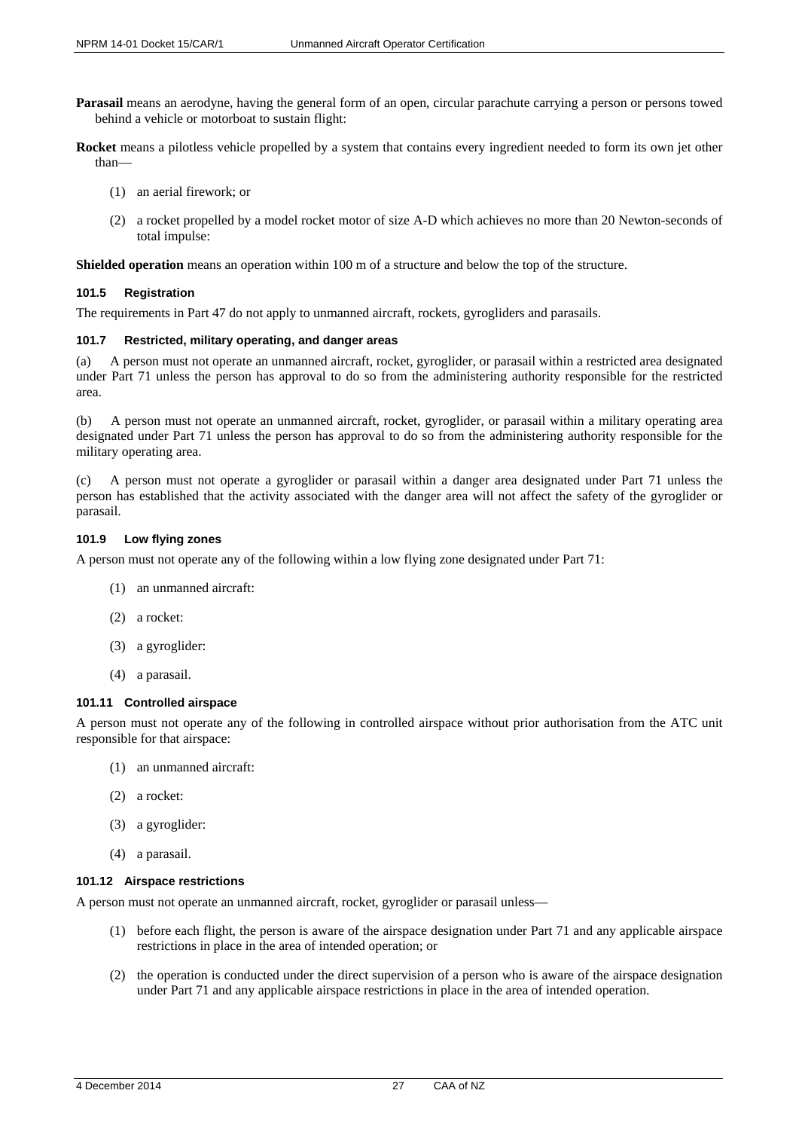- **Parasail** means an aerodyne, having the general form of an open, circular parachute carrying a person or persons towed behind a vehicle or motorboat to sustain flight:
- **Rocket** means a pilotless vehicle propelled by a system that contains every ingredient needed to form its own jet other than—
	- (1) an aerial firework; or
	- (2) a rocket propelled by a model rocket motor of size A-D which achieves no more than 20 Newton-seconds of total impulse:

**Shielded operation** means an operation within 100 m of a structure and below the top of the structure.

#### <span id="page-26-0"></span>**101.5 Registration**

The requirements in Part 47 do not apply to unmanned aircraft, rockets, gyrogliders and parasails.

#### <span id="page-26-1"></span>**101.7 Restricted, military operating, and danger areas**

(a) A person must not operate an unmanned aircraft, rocket, gyroglider, or parasail within a restricted area designated under Part 71 unless the person has approval to do so from the administering authority responsible for the restricted area.

(b) A person must not operate an unmanned aircraft, rocket, gyroglider, or parasail within a military operating area designated under Part 71 unless the person has approval to do so from the administering authority responsible for the military operating area.

(c) A person must not operate a gyroglider or parasail within a danger area designated under Part 71 unless the person has established that the activity associated with the danger area will not affect the safety of the gyroglider or parasail.

#### <span id="page-26-2"></span>**101.9 Low flying zones**

A person must not operate any of the following within a low flying zone designated under Part 71:

- (1) an unmanned aircraft:
- (2) a rocket:
- (3) a gyroglider:
- (4) a parasail.

#### <span id="page-26-3"></span>**101.11 Controlled airspace**

A person must not operate any of the following in controlled airspace without prior authorisation from the ATC unit responsible for that airspace:

- (1) an unmanned aircraft:
- (2) a rocket:
- (3) a gyroglider:
- (4) a parasail.

#### <span id="page-26-4"></span>**101.12 Airspace restrictions**

A person must not operate an unmanned aircraft, rocket, gyroglider or parasail unless—

- (1) before each flight, the person is aware of the airspace designation under Part 71 and any applicable airspace restrictions in place in the area of intended operation; or
- (2) the operation is conducted under the direct supervision of a person who is aware of the airspace designation under Part 71 and any applicable airspace restrictions in place in the area of intended operation.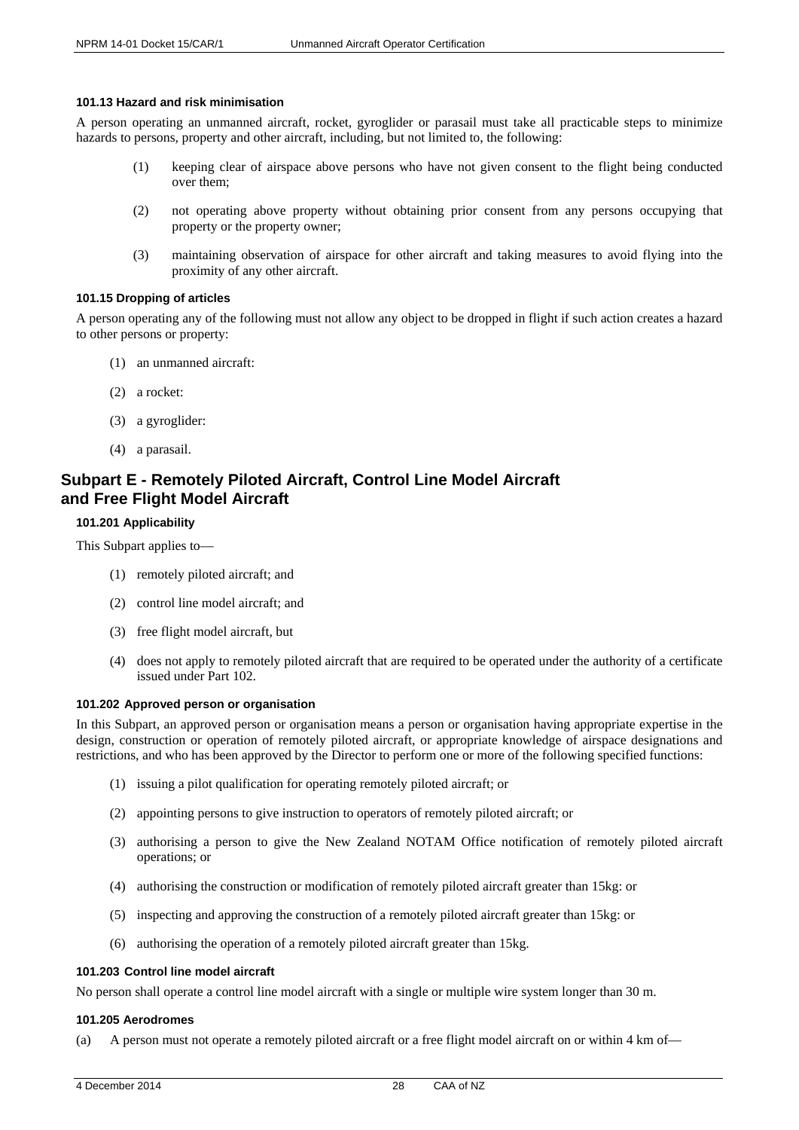#### <span id="page-27-0"></span>**101.13 Hazard and risk minimisation**

A person operating an unmanned aircraft, rocket, gyroglider or parasail must take all practicable steps to minimize hazards to persons, property and other aircraft, including, but not limited to, the following:

- (1) keeping clear of airspace above persons who have not given consent to the flight being conducted over them;
- (2) not operating above property without obtaining prior consent from any persons occupying that property or the property owner;
- (3) maintaining observation of airspace for other aircraft and taking measures to avoid flying into the proximity of any other aircraft.

#### <span id="page-27-1"></span>**101.15 Dropping of articles**

A person operating any of the following must not allow any object to be dropped in flight if such action creates a hazard to other persons or property:

- (1) an unmanned aircraft:
- (2) a rocket:
- (3) a gyroglider:
- (4) a parasail.

# <span id="page-27-2"></span>**Subpart E - Remotely Piloted Aircraft, Control Line Model Aircraft and Free Flight Model Aircraft**

#### <span id="page-27-3"></span>**101.201 Applicability**

This Subpart applies to—

- (1) remotely piloted aircraft; and
- (2) control line model aircraft; and
- (3) free flight model aircraft, but
- (4) does not apply to remotely piloted aircraft that are required to be operated under the authority of a certificate issued under Part 102.

#### <span id="page-27-4"></span>**101.202 Approved person or organisation**

In this Subpart, an approved person or organisation means a person or organisation having appropriate expertise in the design, construction or operation of remotely piloted aircraft, or appropriate knowledge of airspace designations and restrictions, and who has been approved by the Director to perform one or more of the following specified functions:

- (1) issuing a pilot qualification for operating remotely piloted aircraft; or
- (2) appointing persons to give instruction to operators of remotely piloted aircraft; or
- (3) authorising a person to give the New Zealand NOTAM Office notification of remotely piloted aircraft operations; or
- (4) authorising the construction or modification of remotely piloted aircraft greater than 15kg: or
- (5) inspecting and approving the construction of a remotely piloted aircraft greater than 15kg: or
- (6) authorising the operation of a remotely piloted aircraft greater than 15kg.

#### <span id="page-27-5"></span>**101.203 Control line model aircraft**

No person shall operate a control line model aircraft with a single or multiple wire system longer than 30 m.

#### <span id="page-27-6"></span>**101.205 Aerodromes**

(a) A person must not operate a remotely piloted aircraft or a free flight model aircraft on or within 4 km of—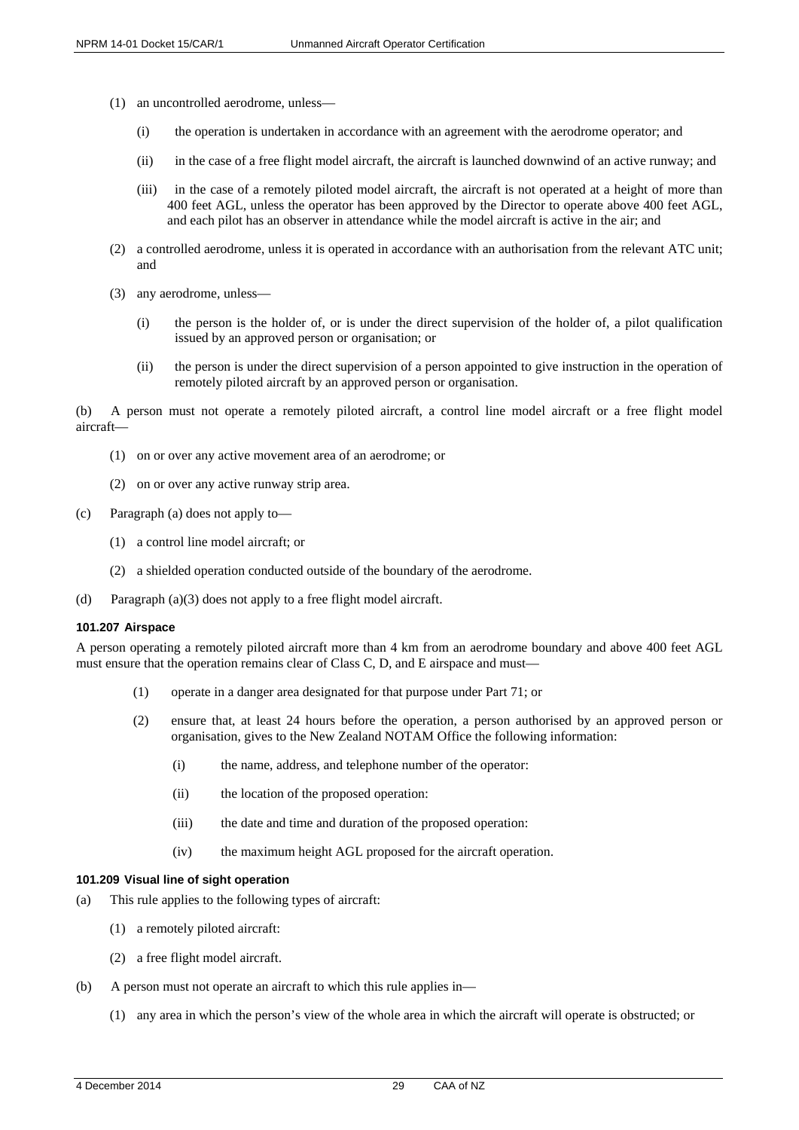- (1) an uncontrolled aerodrome, unless—
	- (i) the operation is undertaken in accordance with an agreement with the aerodrome operator; and
	- (ii) in the case of a free flight model aircraft, the aircraft is launched downwind of an active runway; and
	- (iii) in the case of a remotely piloted model aircraft, the aircraft is not operated at a height of more than 400 feet AGL, unless the operator has been approved by the Director to operate above 400 feet AGL, and each pilot has an observer in attendance while the model aircraft is active in the air; and
- (2) a controlled aerodrome, unless it is operated in accordance with an authorisation from the relevant ATC unit; and
- (3) any aerodrome, unless—
	- (i) the person is the holder of, or is under the direct supervision of the holder of, a pilot qualification issued by an approved person or organisation; or
	- (ii) the person is under the direct supervision of a person appointed to give instruction in the operation of remotely piloted aircraft by an approved person or organisation.

(b) A person must not operate a remotely piloted aircraft, a control line model aircraft or a free flight model aircraft—

- (1) on or over any active movement area of an aerodrome; or
- (2) on or over any active runway strip area.
- (c) Paragraph (a) does not apply to—
	- (1) a control line model aircraft; or
	- (2) a shielded operation conducted outside of the boundary of the aerodrome.
- (d) Paragraph (a)(3) does not apply to a free flight model aircraft.

#### <span id="page-28-0"></span>**101.207 Airspace**

A person operating a remotely piloted aircraft more than 4 km from an aerodrome boundary and above 400 feet AGL must ensure that the operation remains clear of Class C, D, and E airspace and must—

- (1) operate in a danger area designated for that purpose under Part 71; or
- (2) ensure that, at least 24 hours before the operation, a person authorised by an approved person or organisation, gives to the New Zealand NOTAM Office the following information:
	- (i) the name, address, and telephone number of the operator:
	- (ii) the location of the proposed operation:
	- (iii) the date and time and duration of the proposed operation:
	- (iv) the maximum height AGL proposed for the aircraft operation.

#### <span id="page-28-1"></span>**101.209 Visual line of sight operation**

- (a) This rule applies to the following types of aircraft:
	- (1) a remotely piloted aircraft:
	- (2) a free flight model aircraft.
- (b) A person must not operate an aircraft to which this rule applies in—
	- (1) any area in which the person's view of the whole area in which the aircraft will operate is obstructed; or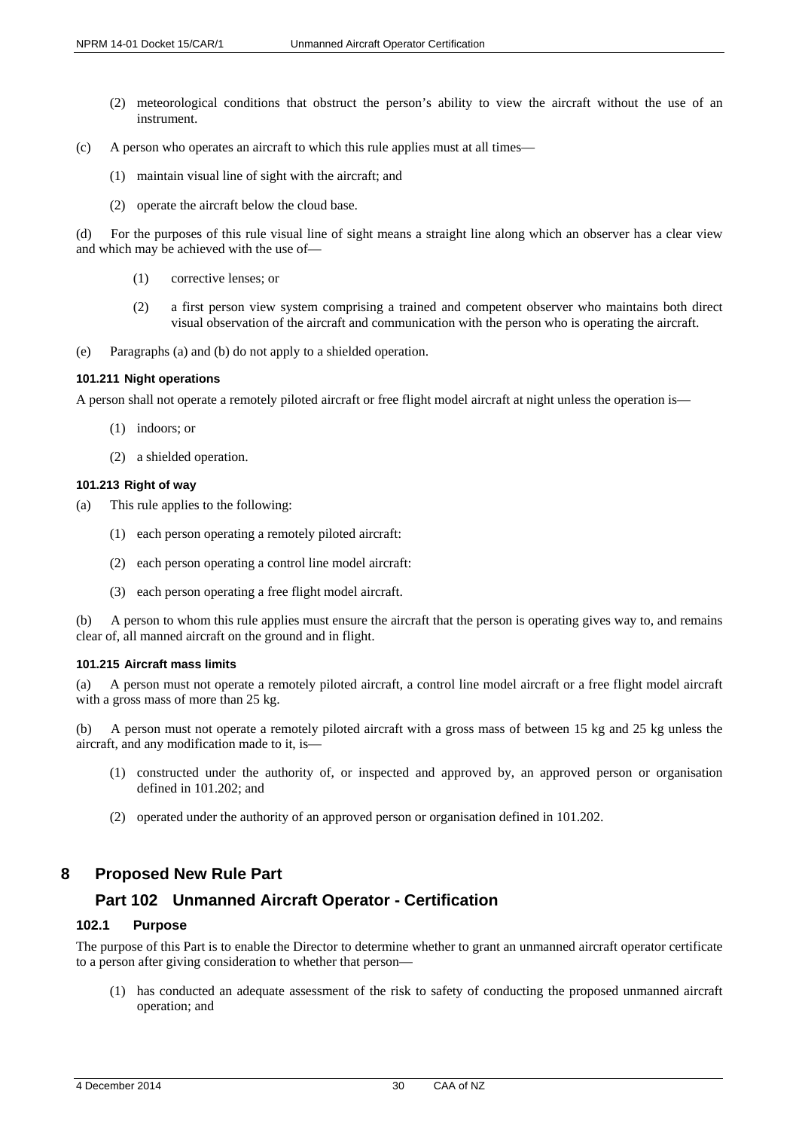- (2) meteorological conditions that obstruct the person's ability to view the aircraft without the use of an instrument.
- (c) A person who operates an aircraft to which this rule applies must at all times—
	- (1) maintain visual line of sight with the aircraft; and
	- (2) operate the aircraft below the cloud base.

(d) For the purposes of this rule visual line of sight means a straight line along which an observer has a clear view and which may be achieved with the use of—

- (1) corrective lenses; or
- (2) a first person view system comprising a trained and competent observer who maintains both direct visual observation of the aircraft and communication with the person who is operating the aircraft.
- (e) Paragraphs (a) and (b) do not apply to a shielded operation.

#### <span id="page-29-0"></span>**101.211 Night operations**

A person shall not operate a remotely piloted aircraft or free flight model aircraft at night unless the operation is—

- (1) indoors; or
- (2) a shielded operation.

#### <span id="page-29-1"></span>**101.213 Right of way**

- (a) This rule applies to the following:
	- (1) each person operating a remotely piloted aircraft:
	- (2) each person operating a control line model aircraft:
	- (3) each person operating a free flight model aircraft.

(b) A person to whom this rule applies must ensure the aircraft that the person is operating gives way to, and remains clear of, all manned aircraft on the ground and in flight.

#### <span id="page-29-2"></span>**101.215 Aircraft mass limits**

(a) A person must not operate a remotely piloted aircraft, a control line model aircraft or a free flight model aircraft with a gross mass of more than 25 kg.

(b) A person must not operate a remotely piloted aircraft with a gross mass of between 15 kg and 25 kg unless the aircraft, and any modification made to it, is—

- (1) constructed under the authority of, or inspected and approved by, an approved person or organisation defined in 101.202; and
- (2) operated under the authority of an approved person or organisation defined in 101.202.

# <span id="page-29-3"></span>**8 Proposed New Rule Part**

# <span id="page-29-4"></span>**Part 102 Unmanned Aircraft Operator - Certification**

## <span id="page-29-5"></span>**102.1 Purpose**

The purpose of this Part is to enable the Director to determine whether to grant an unmanned aircraft operator certificate to a person after giving consideration to whether that person—

(1) has conducted an adequate assessment of the risk to safety of conducting the proposed unmanned aircraft operation; and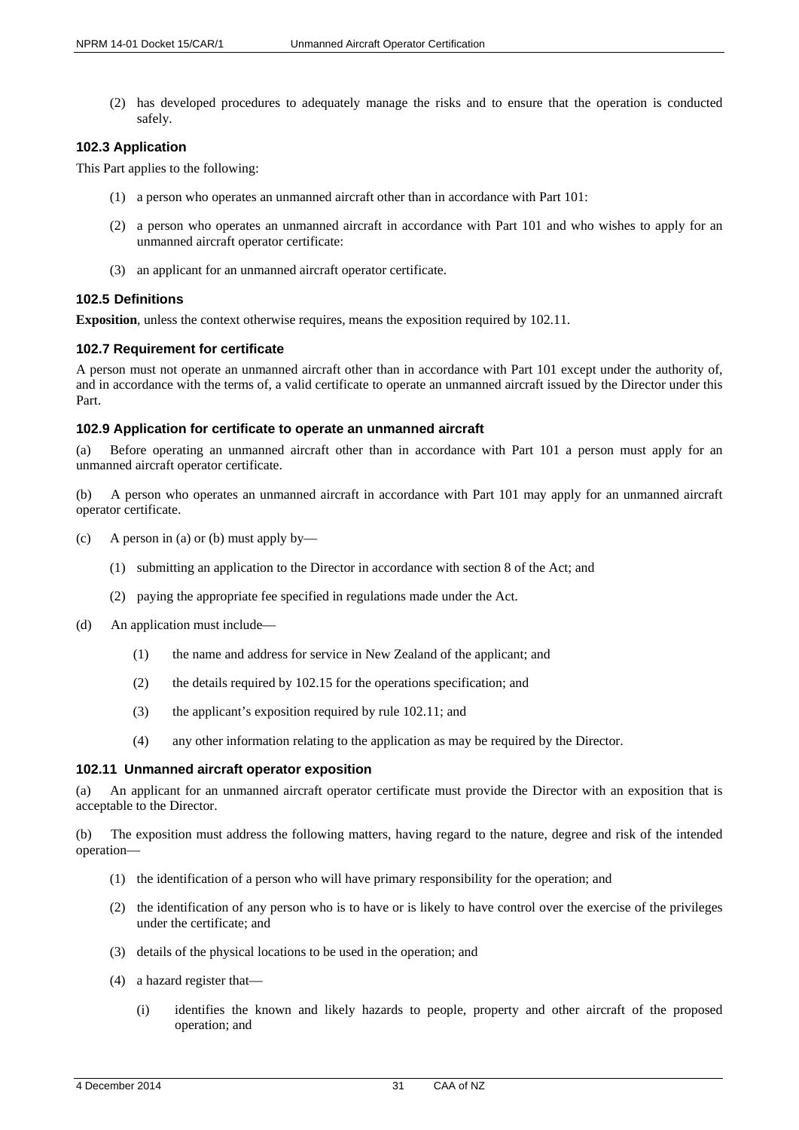(2) has developed procedures to adequately manage the risks and to ensure that the operation is conducted safely.

#### <span id="page-30-0"></span>**102.3 Application**

This Part applies to the following:

- (1) a person who operates an unmanned aircraft other than in accordance with Part 101:
- (2) a person who operates an unmanned aircraft in accordance with Part 101 and who wishes to apply for an unmanned aircraft operator certificate:
- (3) an applicant for an unmanned aircraft operator certificate.

## <span id="page-30-1"></span>**102.5 Definitions**

**Exposition**, unless the context otherwise requires, means the exposition required by 102.11.

#### <span id="page-30-2"></span>**102.7 Requirement for certificate**

A person must not operate an unmanned aircraft other than in accordance with Part 101 except under the authority of, and in accordance with the terms of, a valid certificate to operate an unmanned aircraft issued by the Director under this Part.

#### <span id="page-30-3"></span>**102.9 Application for certificate to operate an unmanned aircraft**

(a) Before operating an unmanned aircraft other than in accordance with Part 101 a person must apply for an unmanned aircraft operator certificate.

(b) A person who operates an unmanned aircraft in accordance with Part 101 may apply for an unmanned aircraft operator certificate.

- (c) A person in (a) or (b) must apply by—
	- (1) submitting an application to the Director in accordance with section 8 of the Act; and
	- (2) paying the appropriate fee specified in regulations made under the Act.
- (d) An application must include—
	- (1) the name and address for service in New Zealand of the applicant; and
	- (2) the details required by 102.15 for the operations specification; and
	- (3) the applicant's exposition required by rule 102.11; and
	- (4) any other information relating to the application as may be required by the Director.

#### <span id="page-30-4"></span>**102.11 Unmanned aircraft operator exposition**

(a) An applicant for an unmanned aircraft operator certificate must provide the Director with an exposition that is acceptable to the Director.

(b) The exposition must address the following matters, having regard to the nature, degree and risk of the intended operation—

- (1) the identification of a person who will have primary responsibility for the operation; and
- (2) the identification of any person who is to have or is likely to have control over the exercise of the privileges under the certificate; and
- (3) details of the physical locations to be used in the operation; and
- (4) a hazard register that—
	- (i) identifies the known and likely hazards to people, property and other aircraft of the proposed operation; and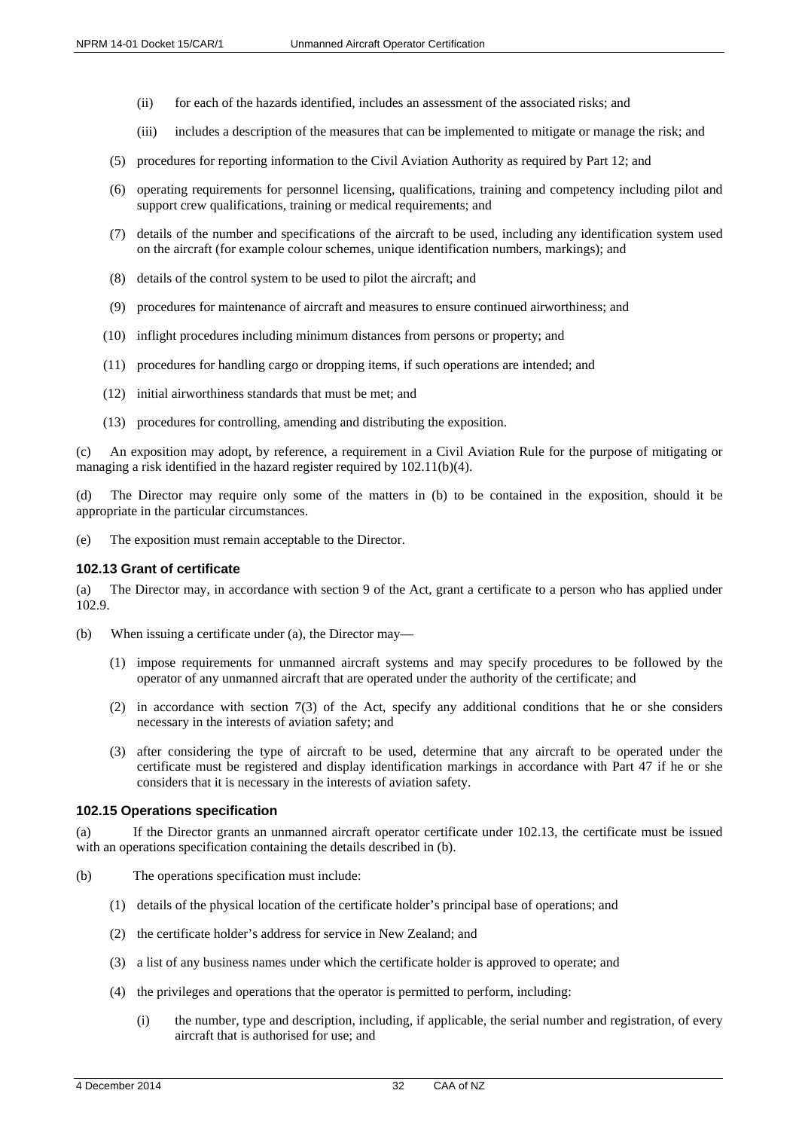- (ii) for each of the hazards identified, includes an assessment of the associated risks; and
- (iii) includes a description of the measures that can be implemented to mitigate or manage the risk; and
- (5) procedures for reporting information to the Civil Aviation Authority as required by Part 12; and
- (6) operating requirements for personnel licensing, qualifications, training and competency including pilot and support crew qualifications, training or medical requirements; and
- (7) details of the number and specifications of the aircraft to be used, including any identification system used on the aircraft (for example colour schemes, unique identification numbers, markings); and
- (8) details of the control system to be used to pilot the aircraft; and
- (9) procedures for maintenance of aircraft and measures to ensure continued airworthiness; and
- (10) inflight procedures including minimum distances from persons or property; and
- (11) procedures for handling cargo or dropping items, if such operations are intended; and
- (12) initial airworthiness standards that must be met; and
- (13) procedures for controlling, amending and distributing the exposition.

(c) An exposition may adopt, by reference, a requirement in a Civil Aviation Rule for the purpose of mitigating or managing a risk identified in the hazard register required by 102.11(b)(4).

(d) The Director may require only some of the matters in (b) to be contained in the exposition, should it be appropriate in the particular circumstances.

(e) The exposition must remain acceptable to the Director.

#### <span id="page-31-0"></span>**102.13 Grant of certificate**

(a) The Director may, in accordance with section 9 of the Act, grant a certificate to a person who has applied under 102.9.

- (b) When issuing a certificate under (a), the Director may—
	- (1) impose requirements for unmanned aircraft systems and may specify procedures to be followed by the operator of any unmanned aircraft that are operated under the authority of the certificate; and
	- (2) in accordance with section 7(3) of the Act, specify any additional conditions that he or she considers necessary in the interests of aviation safety; and
	- (3) after considering the type of aircraft to be used, determine that any aircraft to be operated under the certificate must be registered and display identification markings in accordance with Part 47 if he or she considers that it is necessary in the interests of aviation safety.

#### <span id="page-31-1"></span>**102.15 Operations specification**

If the Director grants an unmanned aircraft operator certificate under 102.13, the certificate must be issued with an operations specification containing the details described in (b).

- (b) The operations specification must include:
	- (1) details of the physical location of the certificate holder's principal base of operations; and
	- (2) the certificate holder's address for service in New Zealand; and
	- (3) a list of any business names under which the certificate holder is approved to operate; and
	- (4) the privileges and operations that the operator is permitted to perform, including:
		- (i) the number, type and description, including, if applicable, the serial number and registration, of every aircraft that is authorised for use; and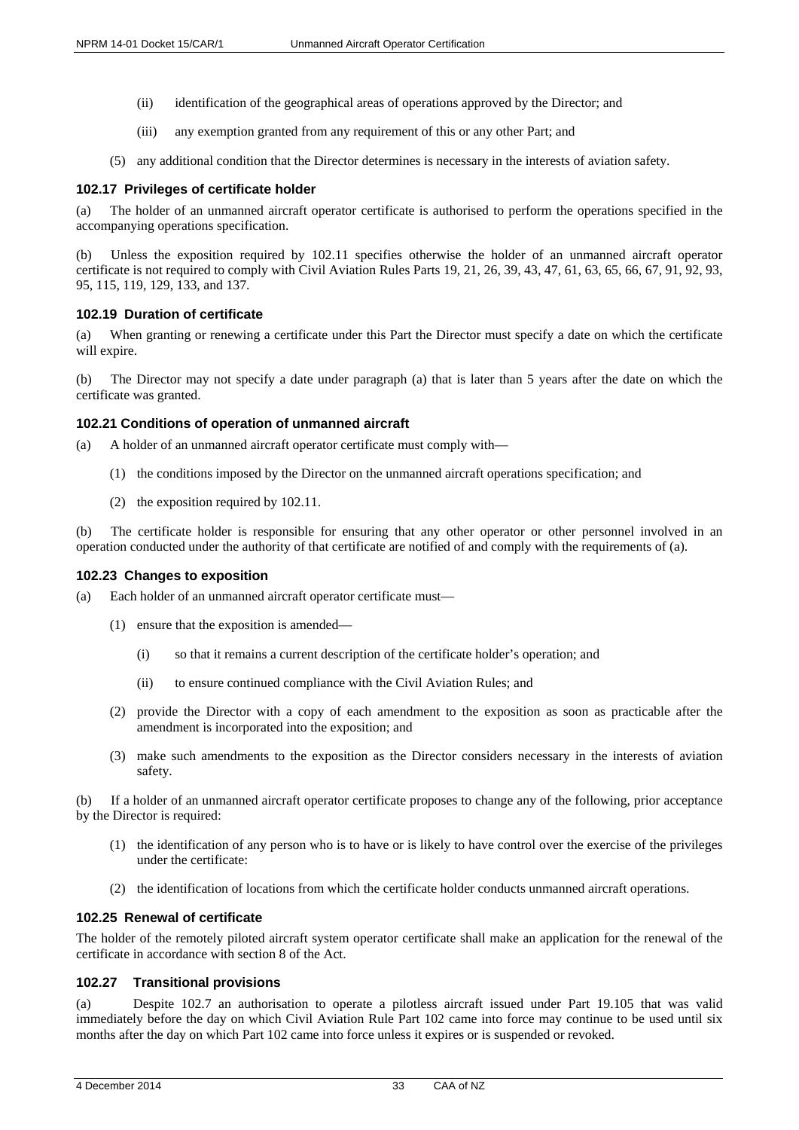- (ii) identification of the geographical areas of operations approved by the Director; and
- (iii) any exemption granted from any requirement of this or any other Part; and
- (5) any additional condition that the Director determines is necessary in the interests of aviation safety.

#### <span id="page-32-0"></span>**102.17 Privileges of certificate holder**

(a) The holder of an unmanned aircraft operator certificate is authorised to perform the operations specified in the accompanying operations specification.

Unless the exposition required by 102.11 specifies otherwise the holder of an unmanned aircraft operator certificate is not required to comply with Civil Aviation Rules Parts 19, 21, 26, 39, 43, 47, 61, 63, 65, 66, 67, 91, 92, 93, 95, 115, 119, 129, 133, and 137.

#### <span id="page-32-1"></span>**102.19 Duration of certificate**

(a) When granting or renewing a certificate under this Part the Director must specify a date on which the certificate will expire.

(b) The Director may not specify a date under paragraph (a) that is later than 5 years after the date on which the certificate was granted.

#### <span id="page-32-2"></span>**102.21 Conditions of operation of unmanned aircraft**

- (a) A holder of an unmanned aircraft operator certificate must comply with—
	- (1) the conditions imposed by the Director on the unmanned aircraft operations specification; and
	- (2) the exposition required by 102.11.

The certificate holder is responsible for ensuring that any other operator or other personnel involved in an operation conducted under the authority of that certificate are notified of and comply with the requirements of (a).

#### <span id="page-32-3"></span>**102.23 Changes to exposition**

- (a) Each holder of an unmanned aircraft operator certificate must—
	- (1) ensure that the exposition is amended—
		- (i) so that it remains a current description of the certificate holder's operation; and
		- (ii) to ensure continued compliance with the Civil Aviation Rules; and
	- (2) provide the Director with a copy of each amendment to the exposition as soon as practicable after the amendment is incorporated into the exposition; and
	- (3) make such amendments to the exposition as the Director considers necessary in the interests of aviation safety.

(b) If a holder of an unmanned aircraft operator certificate proposes to change any of the following, prior acceptance by the Director is required:

- (1) the identification of any person who is to have or is likely to have control over the exercise of the privileges under the certificate:
- (2) the identification of locations from which the certificate holder conducts unmanned aircraft operations.

## <span id="page-32-4"></span>**102.25 Renewal of certificate**

The holder of the remotely piloted aircraft system operator certificate shall make an application for the renewal of the certificate in accordance with section 8 of the Act.

#### <span id="page-32-5"></span>**102.27 Transitional provisions**

(a) Despite 102.7 an authorisation to operate a pilotless aircraft issued under Part 19.105 that was valid immediately before the day on which Civil Aviation Rule Part 102 came into force may continue to be used until six months after the day on which Part 102 came into force unless it expires or is suspended or revoked.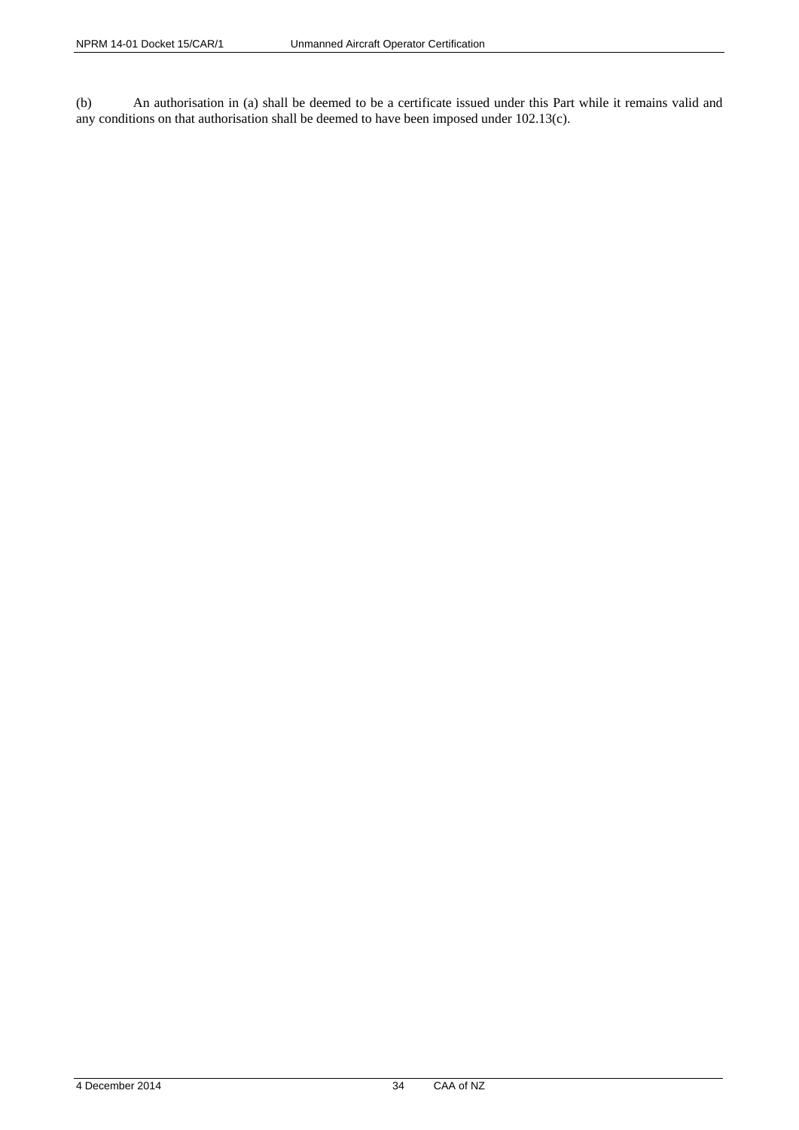(b) An authorisation in (a) shall be deemed to be a certificate issued under this Part while it remains valid and any conditions on that authorisation shall be deemed to have been imposed under 102.13(c).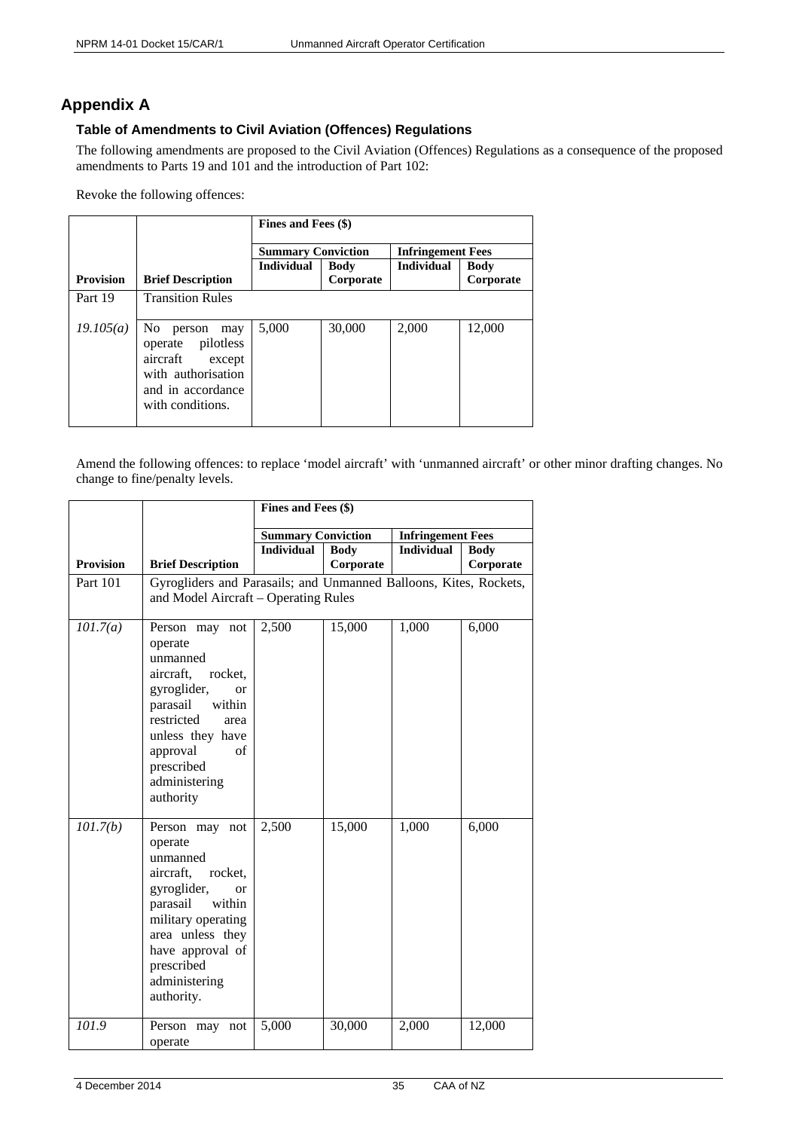# <span id="page-34-0"></span>**Appendix A**

# <span id="page-34-1"></span>**Table of Amendments to Civil Aviation (Offences) Regulations**

The following amendments are proposed to the Civil Aviation (Offences) Regulations as a consequence of the proposed amendments to Parts 19 and 101 and the introduction of Part 102:

Revoke the following offences:

|                  |                                                                                                                                | Fines and Fees (\$)       |             |                          |             |  |  |
|------------------|--------------------------------------------------------------------------------------------------------------------------------|---------------------------|-------------|--------------------------|-------------|--|--|
|                  |                                                                                                                                | <b>Summary Conviction</b> |             | <b>Infringement Fees</b> |             |  |  |
|                  |                                                                                                                                | <b>Individual</b>         | <b>Body</b> | <b>Individual</b>        | <b>Body</b> |  |  |
| <b>Provision</b> | <b>Brief Description</b>                                                                                                       |                           | Corporate   |                          | Corporate   |  |  |
| Part 19          | <b>Transition Rules</b>                                                                                                        |                           |             |                          |             |  |  |
| 19.105(a)        | No.<br>person<br>may<br>operate pilotless<br>aircraft<br>except<br>with authorisation<br>and in accordance<br>with conditions. | 5,000                     | 30,000      | 2,000                    | 12,000      |  |  |

Amend the following offences: to replace 'model aircraft' with 'unmanned aircraft' or other minor drafting changes. No change to fine/penalty levels.

|                  |                                                                                                                                                                                                                           | Fines and Fees (\$)       |                          |                          |                          |  |  |
|------------------|---------------------------------------------------------------------------------------------------------------------------------------------------------------------------------------------------------------------------|---------------------------|--------------------------|--------------------------|--------------------------|--|--|
|                  |                                                                                                                                                                                                                           | <b>Summary Conviction</b> |                          | <b>Infringement Fees</b> |                          |  |  |
| <b>Provision</b> | <b>Brief Description</b>                                                                                                                                                                                                  | <b>Individual</b>         | <b>Body</b><br>Corporate | <b>Individual</b>        | <b>Body</b><br>Corporate |  |  |
| Part 101         | Gyrogliders and Parasails; and Unmanned Balloons, Kites, Rockets,<br>and Model Aircraft - Operating Rules                                                                                                                 |                           |                          |                          |                          |  |  |
| 101.7(a)         | Person may not<br>operate<br>unmanned<br>aircraft,<br>rocket,<br>gyroglider,<br>$\alpha$<br>within<br>parasail<br>restricted<br>area<br>unless they have<br>approval<br>of<br>prescribed<br>administering<br>authority    | 2,500                     | 15,000                   | 1,000                    | 6,000                    |  |  |
| 101.7(b)         | Person may not<br>operate<br>unmanned<br>aircraft,<br>rocket.<br>gyroglider,<br>$\alpha$<br>parasail<br>within<br>military operating<br>area unless they<br>have approval of<br>prescribed<br>administering<br>authority. | 2,500                     | 15,000                   | 1,000                    | 6,000                    |  |  |
| 101.9            | Person may not<br>operate                                                                                                                                                                                                 | 5,000                     | 30,000                   | 2,000                    | 12,000                   |  |  |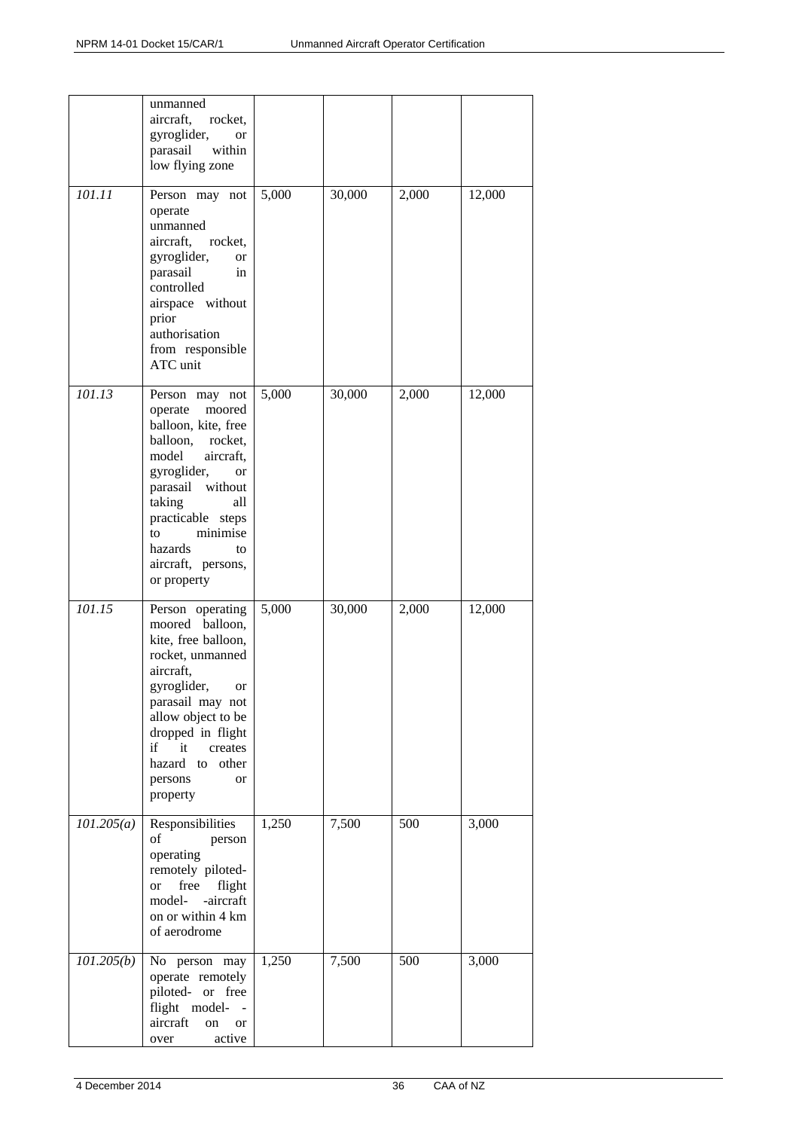|            | unmanned<br>aircraft,<br>rocket,<br>gyroglider,<br>or<br>parasail<br>within<br>low flying zone                                                                                                                                                                 |       |        |       |        |
|------------|----------------------------------------------------------------------------------------------------------------------------------------------------------------------------------------------------------------------------------------------------------------|-------|--------|-------|--------|
| 101.11     | Person may not<br>operate<br>unmanned<br>aircraft,<br>rocket,<br>gyroglider,<br>or<br>parasail<br>in<br>controlled<br>airspace without<br>prior<br>authorisation<br>from responsible<br>ATC unit                                                               | 5,000 | 30,000 | 2,000 | 12,000 |
| 101.13     | Person may not<br>operate<br>moored<br>balloon, kite, free<br>balloon,<br>rocket,<br>model<br>aircraft,<br>gyroglider,<br>or<br>parasail without<br>taking<br>all<br>practicable steps<br>minimise<br>to<br>hazards<br>to<br>aircraft, persons,<br>or property | 5,000 | 30,000 | 2,000 | 12,000 |
| 101.15     | Person operating<br>moored balloon,<br>kite, free balloon,<br>rocket, unmanned<br>aircraft,<br>gyroglider,<br>or<br>parasail may not<br>allow object to be<br>dropped in flight<br>if<br>it<br>creates<br>hazard to<br>other<br>persons<br>or<br>property      | 5,000 | 30,000 | 2,000 | 12,000 |
| 101.205(a) | Responsibilities<br>of<br>person<br>operating<br>remotely piloted-<br>free<br>flight<br><b>or</b><br>-aircraft<br>model-<br>on or within 4 km<br>of aerodrome                                                                                                  | 1,250 | 7,500  | 500   | 3,000  |
| 101.205(b) | No person may<br>operate remotely<br>piloted- or free<br>flight model-<br>$\sim$ $-$<br>aircraft<br>on<br>or<br>active<br>over                                                                                                                                 | 1,250 | 7,500  | 500   | 3,000  |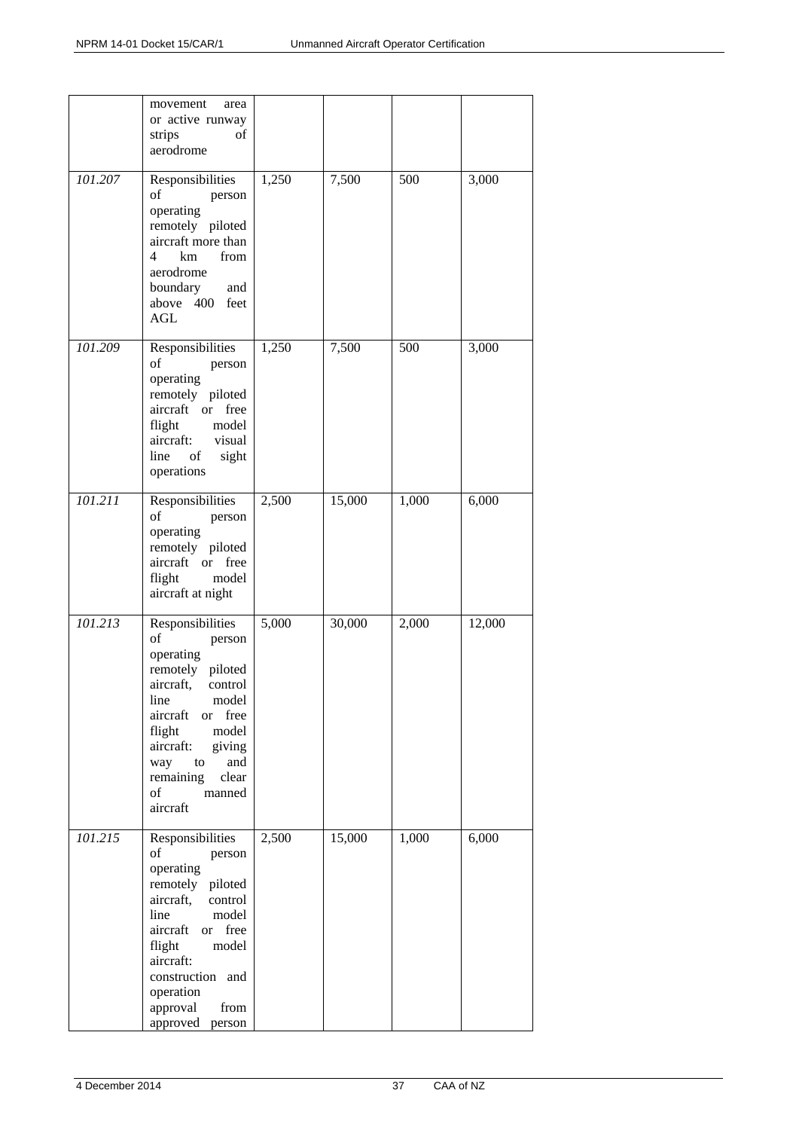|         | movement<br>area<br>or active runway<br>strips<br>οf<br>aerodrome                                                                                                                                                                                           |       |        |       |        |
|---------|-------------------------------------------------------------------------------------------------------------------------------------------------------------------------------------------------------------------------------------------------------------|-------|--------|-------|--------|
| 101.207 | Responsibilities<br>of<br>person<br>operating<br>remotely piloted<br>aircraft more than<br>4<br>km<br>from<br>aerodrome<br>boundary<br>and<br>above 400 feet<br>AGL                                                                                         | 1,250 | 7,500  | 500   | 3,000  |
| 101.209 | Responsibilities<br>of<br>person<br>operating<br>remotely piloted<br>aircraft or free<br>flight<br>model<br>aircraft:<br>visual<br>line<br>of<br>sight<br>operations                                                                                        | 1,250 | 7,500  | 500   | 3,000  |
| 101.211 | Responsibilities<br>of<br>person<br>operating<br>remotely piloted<br>aircraft or free<br>flight<br>model<br>aircraft at night                                                                                                                               | 2,500 | 15,000 | 1,000 | 6,000  |
| 101.213 | Responsibilities<br>of<br>person<br>operating<br>remotely piloted<br>aircraft,<br>control<br>model<br>line<br>aircraft<br>free<br><b>or</b><br>flight<br>model<br>aircraft:<br>giving<br>way<br>and<br>to<br>remaining<br>clear<br>of<br>manned<br>aircraft | 5,000 | 30,000 | 2,000 | 12,000 |
| 101.215 | Responsibilities<br>of<br>person<br>operating<br>remotely piloted<br>aircraft,<br>control<br>model<br>line<br>aircraft<br>or free<br>flight<br>model<br>aircraft:<br>construction and<br>operation<br>approval<br>from<br>approved<br>person                | 2,500 | 15,000 | 1,000 | 6,000  |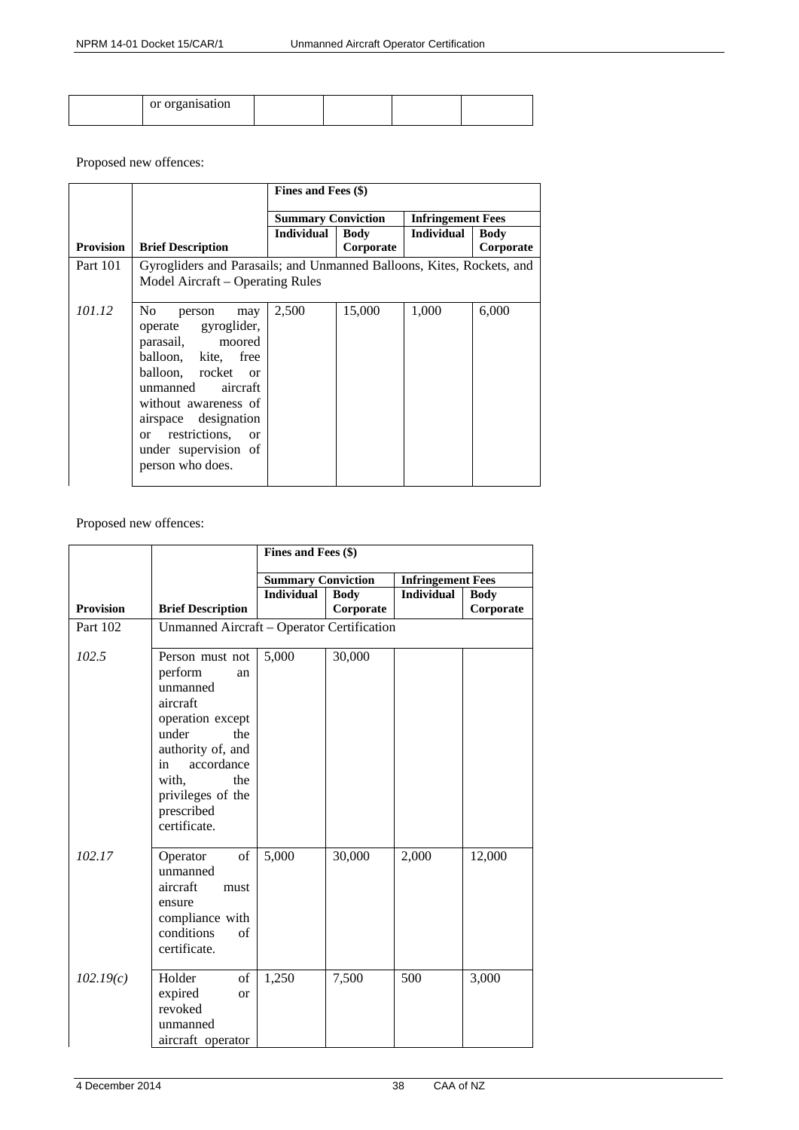| or organisation |  |  |
|-----------------|--|--|
|                 |  |  |

# Proposed new offences:

|                  |                                                                                                                                                                                                                                                                    | Fines and Fees (\$)       |                          |                          |                          |
|------------------|--------------------------------------------------------------------------------------------------------------------------------------------------------------------------------------------------------------------------------------------------------------------|---------------------------|--------------------------|--------------------------|--------------------------|
|                  |                                                                                                                                                                                                                                                                    | <b>Summary Conviction</b> |                          | <b>Infringement Fees</b> |                          |
| <b>Provision</b> | <b>Brief Description</b>                                                                                                                                                                                                                                           | Individual                | <b>Body</b><br>Corporate | <b>Individual</b>        | <b>Body</b><br>Corporate |
| <b>Part 101</b>  | Gyrogliders and Parasails; and Unmanned Balloons, Kites, Rockets, and<br>Model Aircraft – Operating Rules                                                                                                                                                          |                           |                          |                          |                          |
| 101.12           | N <sub>0</sub><br>person<br>may<br>operate gyroglider,<br>parasail, moored<br>balloon, kite, free<br>balloon, rocket or<br>aircraft<br>unmanned<br>without awareness of<br>airspace designation<br>or restrictions, or<br>under supervision of<br>person who does. | 2,500                     | 15,000                   | 1,000                    | 6,000                    |

Proposed new offences:

|                  |                                                                                                                                                                                                          | Fines and Fees (\$)       |             |                          |             |
|------------------|----------------------------------------------------------------------------------------------------------------------------------------------------------------------------------------------------------|---------------------------|-------------|--------------------------|-------------|
|                  |                                                                                                                                                                                                          | <b>Summary Conviction</b> |             | <b>Infringement Fees</b> |             |
|                  |                                                                                                                                                                                                          | <b>Individual</b>         | <b>Body</b> | <b>Individual</b>        | <b>Body</b> |
| <b>Provision</b> | <b>Brief Description</b>                                                                                                                                                                                 |                           | Corporate   |                          | Corporate   |
| Part 102         | Unmanned Aircraft - Operator Certification                                                                                                                                                               |                           |             |                          |             |
| 102.5            | Person must not<br>perform<br>an<br>unmanned<br>aircraft<br>operation except<br>under<br>the<br>authority of, and<br>accordance<br>in<br>with.<br>the<br>privileges of the<br>prescribed<br>certificate. | 5,000                     | 30,000      |                          |             |
| 102.17           | of<br>Operator<br>unmanned<br>aircraft<br>must<br>ensure<br>compliance with<br>conditions<br>of<br>certificate.                                                                                          | 5,000                     | 30,000      | 2,000                    | 12,000      |
| 102.19(c)        | of<br>Holder<br>expired<br><b>or</b><br>revoked<br>unmanned<br>aircraft operator                                                                                                                         | 1,250                     | 7,500       | 500                      | 3,000       |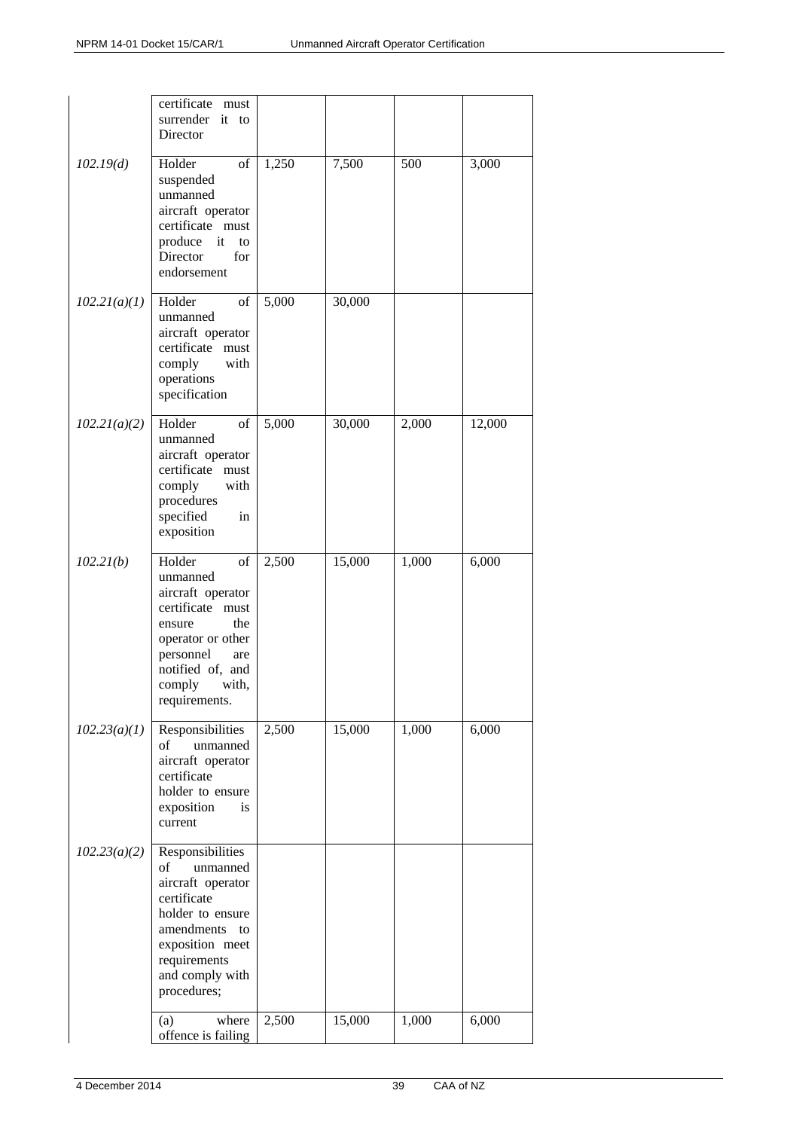|              | certificate<br>must<br>surrender it<br>to<br>Director                                                                                                                                  |       |        |       |        |
|--------------|----------------------------------------------------------------------------------------------------------------------------------------------------------------------------------------|-------|--------|-------|--------|
| 102.19(d)    | of<br>Holder<br>suspended<br>unmanned<br>aircraft operator<br>certificate must<br>produce<br>it<br>to<br>Director<br>for<br>endorsement                                                | 1,250 | 7,500  | 500   | 3,000  |
| 102.21(a)(1) | Holder<br>of<br>unmanned<br>aircraft operator<br>certificate must<br>comply<br>with<br>operations<br>specification                                                                     | 5,000 | 30,000 |       |        |
| 102.21(a)(2) | Holder<br>of<br>unmanned<br>aircraft operator<br>certificate must<br>with<br>comply<br>procedures<br>specified<br>in<br>exposition                                                     | 5,000 | 30,000 | 2,000 | 12,000 |
| 102.21(b)    | Holder<br>of<br>unmanned<br>aircraft operator<br>certificate<br>must<br>the<br>ensure<br>operator or other<br>personnel<br>are<br>notified of, and<br>comply<br>with,<br>requirements. | 2,500 | 15,000 | 1,000 | 6,000  |
| 102.23(a)(1) | Responsibilities<br>of<br>unmanned<br>aircraft operator<br>certificate<br>holder to ensure<br>exposition<br>is<br>current                                                              | 2,500 | 15,000 | 1,000 | 6,000  |
| 102.23(a)(2) | Responsibilities<br>unmanned<br>of<br>aircraft operator<br>certificate<br>holder to ensure<br>amendments<br>to<br>exposition meet<br>requirements<br>and comply with<br>procedures;    |       |        |       |        |
|              | where<br>(a)<br>offence is failing                                                                                                                                                     | 2,500 | 15,000 | 1,000 | 6,000  |